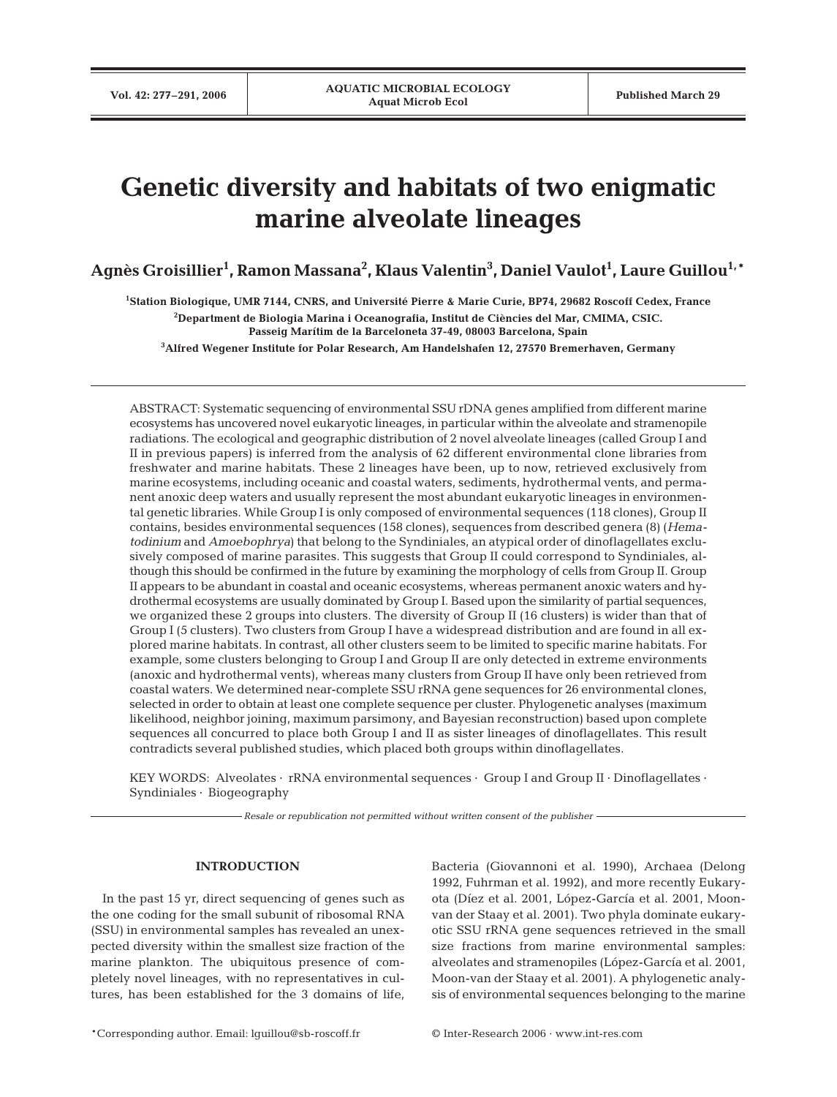# **Genetic diversity and habitats of two enigmatic marine alveolate lineages**

 $\mathbf{A}$ gnès Groisillier<sup>1</sup>, Ramon Massana<sup>2</sup>, Klaus Valentin $^3$ , Daniel Vaulot<sup>1</sup>, Laure Guillou<sup>1,</sup>\*

 **Station Biologique, UMR 7144, CNRS, and Université Pierre & Marie Curie, BP74, 29682 Roscoff Cedex, France Department de Biologia Marina i Oceanografia, Institut de Ciències del Mar, CMIMA, CSIC. Passeig Marítim de la Barceloneta 37-49, 08003 Barcelona, Spain Alfred Wegener Institute for Polar Research, Am Handelshafen 12, 27570 Bremerhaven, Germany**

ABSTRACT: Systematic sequencing of environmental SSU rDNA genes amplified from different marine ecosystems has uncovered novel eukaryotic lineages, in particular within the alveolate and stramenopile radiations. The ecological and geographic distribution of 2 novel alveolate lineages (called Group I and II in previous papers) is inferred from the analysis of 62 different environmental clone libraries from freshwater and marine habitats. These 2 lineages have been, up to now, retrieved exclusively from marine ecosystems, including oceanic and coastal waters, sediments, hydrothermal vents, and permanent anoxic deep waters and usually represent the most abundant eukaryotic lineages in environmental genetic libraries. While Group I is only composed of environmental sequences (118 clones), Group II contains, besides environmental sequences (158 clones), sequences from described genera (8) (*Hematodinium* and *Amoebophrya*) that belong to the Syndiniales, an atypical order of dinoflagellates exclusively composed of marine parasites. This suggests that Group II could correspond to Syndiniales, although this should be confirmed in the future by examining the morphology of cells from Group II. Group II appears to be abundant in coastal and oceanic ecosystems, whereas permanent anoxic waters and hydrothermal ecosystems are usually dominated by Group I. Based upon the similarity of partial sequences, we organized these 2 groups into clusters. The diversity of Group II (16 clusters) is wider than that of Group I (5 clusters). Two clusters from Group I have a widespread distribution and are found in all explored marine habitats. In contrast, all other clusters seem to be limited to specific marine habitats. For example, some clusters belonging to Group I and Group II are only detected in extreme environments (anoxic and hydrothermal vents), whereas many clusters from Group II have only been retrieved from coastal waters. We determined near-complete SSU rRNA gene sequences for 26 environmental clones, selected in order to obtain at least one complete sequence per cluster. Phylogenetic analyses (maximum likelihood, neighbor joining, maximum parsimony, and Bayesian reconstruction) based upon complete sequences all concurred to place both Group I and II as sister lineages of dinoflagellates. This result contradicts several published studies, which placed both groups within dinoflagellates.

KEY WORDS: Alveolates  $\cdot$  rRNA environmental sequences  $\cdot$  Group I and Group II  $\cdot$  Dinoflagellates  $\cdot$ Syndiniales · Biogeography

*Resale or republication not permitted without written consent of the publisher*

# **INTRODUCTION**

In the past 15 yr, direct sequencing of genes such as the one coding for the small subunit of ribosomal RNA (SSU) in environmental samples has revealed an unexpected diversity within the smallest size fraction of the marine plankton. The ubiquitous presence of completely novel lineages, with no representatives in cultures, has been established for the 3 domains of life, Bacteria (Giovannoni et al. 1990), Archaea (Delong 1992, Fuhrman et al. 1992), and more recently Eukaryota (Díez et al. 2001, López-García et al. 2001, Moonvan der Staay et al. 2001). Two phyla dominate eukaryotic SSU rRNA gene sequences retrieved in the small size fractions from marine environmental samples: alveolates and stramenopiles (López-García et al. 2001, Moon-van der Staay et al. 2001). A phylogenetic analysis of environmental sequences belonging to the marine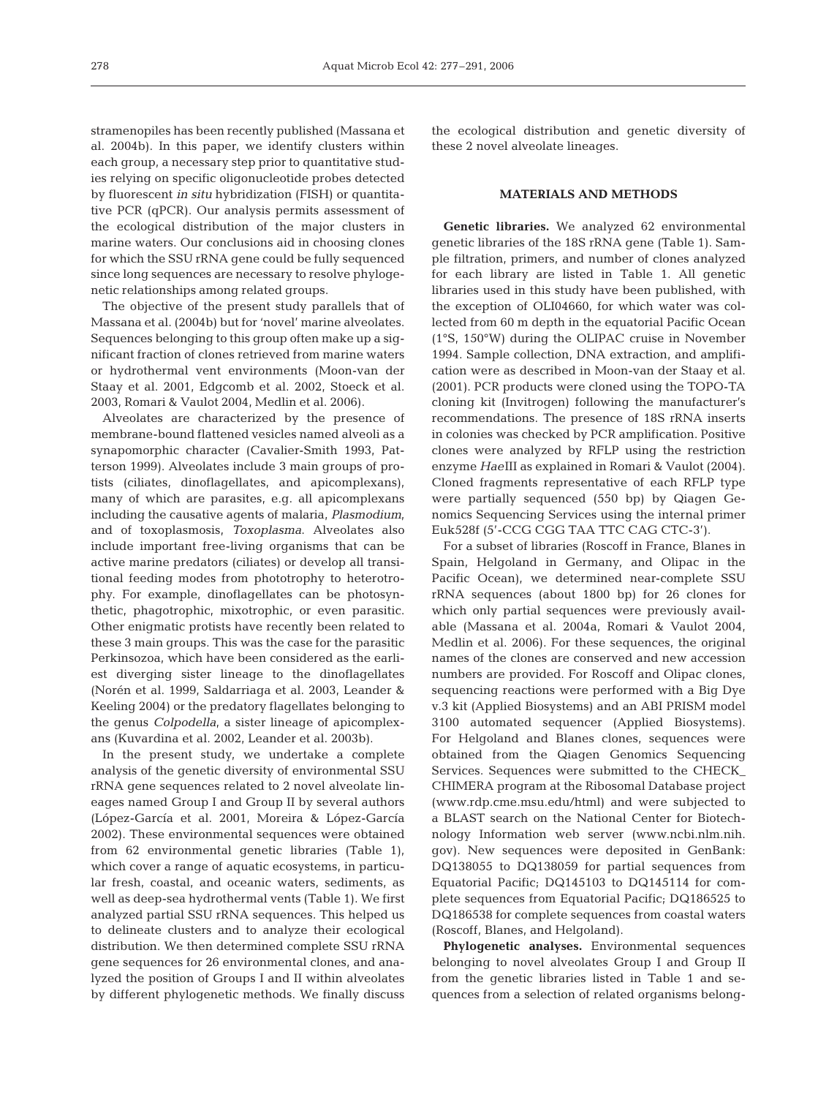stramenopiles has been recently published (Massana et al. 2004b). In this paper, we identify clusters within each group, a necessary step prior to quantitative studies relying on specific oligonucleotide probes detected by fluorescent *in situ* hybridization (FISH) or quantitative PCR (qPCR). Our analysis permits assessment of the ecological distribution of the major clusters in marine waters. Our conclusions aid in choosing clones for which the SSU rRNA gene could be fully sequenced since long sequences are necessary to resolve phylogenetic relationships among related groups.

The objective of the present study parallels that of Massana et al. (2004b) but for 'novel' marine alveolates. Sequences belonging to this group often make up a significant fraction of clones retrieved from marine waters or hydrothermal vent environments (Moon-van der Staay et al. 2001, Edgcomb et al. 2002, Stoeck et al. 2003, Romari & Vaulot 2004, Medlin et al. 2006).

Alveolates are characterized by the presence of membrane-bound flattened vesicles named alveoli as a synapomorphic character (Cavalier-Smith 1993, Patterson 1999). Alveolates include 3 main groups of protists (ciliates, dinoflagellates, and apicomplexans), many of which are parasites, e.g. all apicomplexans including the causative agents of malaria, *Plasmodium*, and of toxoplasmosis, *Toxoplasma*. Alveolates also include important free-living organisms that can be active marine predators (ciliates) or develop all transitional feeding modes from phototrophy to heterotrophy. For example, dinoflagellates can be photosynthetic, phagotrophic, mixotrophic, or even parasitic. Other enigmatic protists have recently been related to these 3 main groups. This was the case for the parasitic Perkinsozoa, which have been considered as the earliest diverging sister lineage to the dinoflagellates (Norén et al. 1999, Saldarriaga et al. 2003, Leander & Keeling 2004) or the predatory flagellates belonging to the genus *Colpodella*, a sister lineage of apicomplexans (Kuvardina et al. 2002, Leander et al. 2003b).

In the present study, we undertake a complete analysis of the genetic diversity of environmental SSU rRNA gene sequences related to 2 novel alveolate lineages named Group I and Group II by several authors (López-García et al. 2001, Moreira & López-García 2002). These environmental sequences were obtained from 62 environmental genetic libraries (Table 1), which cover a range of aquatic ecosystems, in particular fresh, coastal, and oceanic waters, sediments, as well as deep-sea hydrothermal vents (Table 1). We first analyzed partial SSU rRNA sequences. This helped us to delineate clusters and to analyze their ecological distribution. We then determined complete SSU rRNA gene sequences for 26 environmental clones, and analyzed the position of Groups I and II within alveolates by different phylogenetic methods. We finally discuss the ecological distribution and genetic diversity of these 2 novel alveolate lineages.

## **MATERIALS AND METHODS**

**Genetic libraries.** We analyzed 62 environmental genetic libraries of the 18S rRNA gene (Table 1). Sample filtration, primers, and number of clones analyzed for each library are listed in Table 1. All genetic libraries used in this study have been published, with the exception of OLI04660, for which water was collected from 60 m depth in the equatorial Pacific Ocean (1°S, 150°W) during the OLIPAC cruise in November 1994. Sample collection, DNA extraction, and amplification were as described in Moon-van der Staay et al. (2001). PCR products were cloned using the TOPO-TA cloning kit (Invitrogen) following the manufacturer's recommendations. The presence of 18S rRNA inserts in colonies was checked by PCR amplification. Positive clones were analyzed by RFLP using the restriction enzyme *Hae*III as explained in Romari & Vaulot (2004). Cloned fragments representative of each RFLP type were partially sequenced (550 bp) by Qiagen Genomics Sequencing Services using the internal primer Euk528f (5'-CCG CGG TAA TTC CAG CTC-3').

For a subset of libraries (Roscoff in France, Blanes in Spain, Helgoland in Germany, and Olipac in the Pacific Ocean), we determined near-complete SSU rRNA sequences (about 1800 bp) for 26 clones for which only partial sequences were previously available (Massana et al. 2004a, Romari & Vaulot 2004, Medlin et al. 2006). For these sequences, the original names of the clones are conserved and new accession numbers are provided. For Roscoff and Olipac clones, sequencing reactions were performed with a Big Dye v.3 kit (Applied Biosystems) and an ABI PRISM model 3100 automated sequencer (Applied Biosystems). For Helgoland and Blanes clones, sequences were obtained from the Qiagen Genomics Sequencing Services. Sequences were submitted to the CHECK\_ CHIMERA program at the Ribosomal Database project (www.rdp.cme.msu.edu/html) and were subjected to a BLAST search on the National Center for Biotechnology Information web server (www.ncbi.nlm.nih. gov). New sequences were deposited in GenBank: DQ138055 to DQ138059 for partial sequences from Equatorial Pacific; DQ145103 to DQ145114 for complete sequences from Equatorial Pacific; DQ186525 to DQ186538 for complete sequences from coastal waters (Roscoff, Blanes, and Helgoland).

**Phylogenetic analyses.** Environmental sequences belonging to novel alveolates Group I and Group II from the genetic libraries listed in Table 1 and sequences from a selection of related organisms belong-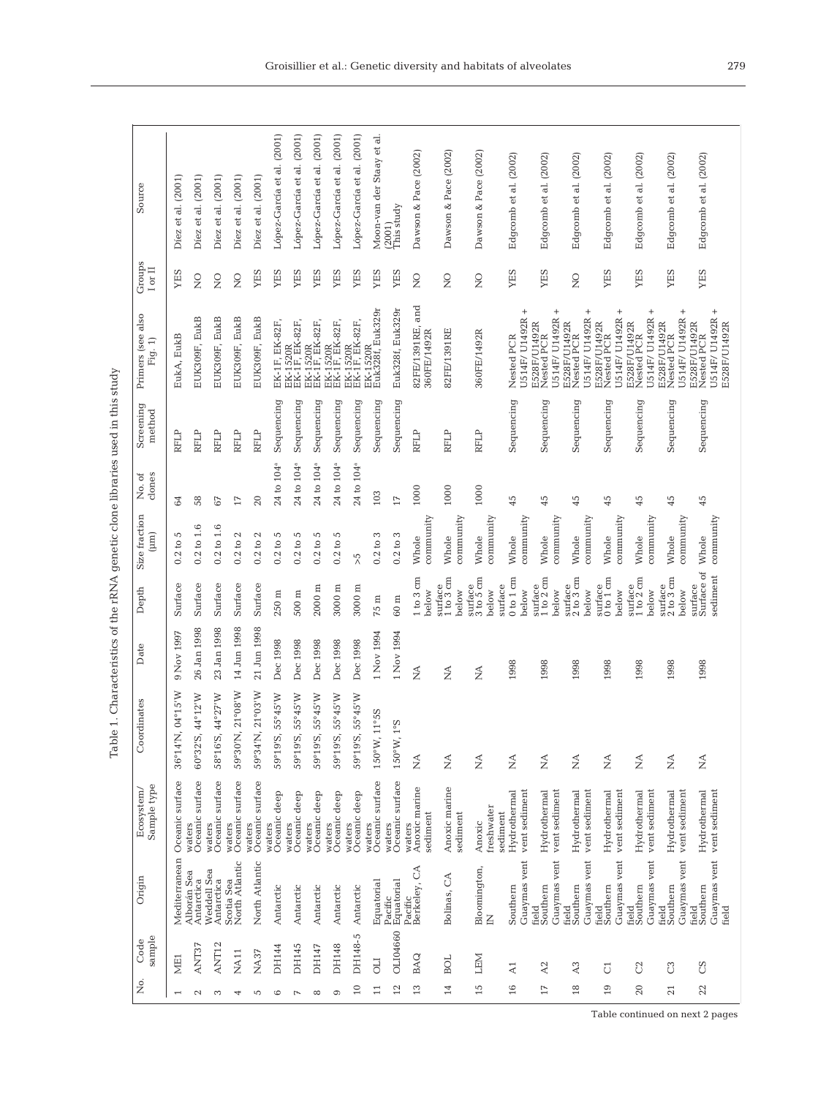| <b>ATA-TH-10</b><br>ł<br>j                                                                                               |  |
|--------------------------------------------------------------------------------------------------------------------------|--|
| j<br> <br> <br> <br>                                                                                                     |  |
| i<br>$\vdots$<br>I<br>Ž                                                                                                  |  |
| וּ<br>וּ                                                                                                                 |  |
| i<br>Santa Santa Santa Santa Santa Santa Santa Santa Santa Santa Santa Santa Santa Santa Santa Santa Santa Santa Sa<br>١ |  |
| $\ddot{\phantom{1}}$<br>i                                                                                                |  |
| I<br>י<br>י                                                                                                              |  |
| the company state of the company<br>ï<br>֚֘<br>i<br>j<br>;                                                               |  |
| ł<br>$\frac{1}{2}$<br>í<br>l                                                                                             |  |

|                 | sample<br>Code | Origin                                     | Sample type<br>Ecosystem/                 | dinates<br>Coor                          | Date                                     | Depth                                                                                | Size fraction<br>$(\mu m)$ | clones<br>No. of       | Screening<br>method | Primers (see also<br>Fig. 1)                                          | Groups<br>I or II      | Source                     |
|-----------------|----------------|--------------------------------------------|-------------------------------------------|------------------------------------------|------------------------------------------|--------------------------------------------------------------------------------------|----------------------------|------------------------|---------------------|-----------------------------------------------------------------------|------------------------|----------------------------|
| ME <sub>1</sub> |                | Mediterranean                              | Oceanic surface                           | 04°15'W<br>36°14'N                       | 9 Nov 1997                               | Surface                                                                              | 0.2 to 5                   | 84                     | RFLP                | EukA, EukB                                                            | <b>SHI</b>             | Díez et al. (2001)         |
| ANT37           |                | Alborán Sea<br>Antarctica                  | waters<br>Oceanic surface                 | 44°12'W<br>$60°32'$ S,                   | 26 Jan 1998                              | Surface                                                                              | $0.2$ to $1.6$             | 58                     | RFLP                | EUK309F, EukB                                                         | $\frac{0}{2}$          | Díez et al. (2001)         |
| ANT12           |                | Weddell Sea<br>Antarctica                  | waters<br>Oceanic surface                 | 44°27'W<br>58°16'S,                      | 23 Jan 1998                              | Surface                                                                              | 0.2 to 1.6                 | $67\,$                 | RFLP                | EUK309F, EukB                                                         | $\overline{S}$         | Díez et al. (2001)         |
| <b>NA11</b>     |                | Scotia Sea<br>North Atlantic               | Oceanic surface<br>waters                 | $21^{\circ}08'$ W<br>59°30'N,            | 14 Jun 1998                              | Surface                                                                              | $0.2$ to $2$               | $11$                   | RFLP                | EUK309F, EukB                                                         | $\frac{0}{\mathbf{Z}}$ | Díez et al. (2001)         |
| NA37            |                | North Atlantic                             | Oceanic surface<br>waters                 | 21°03'W<br>59°34'N                       | 21 Jun 1998                              | Surface                                                                              | $0.2$ to $2$               | 20                     | RFLP                | EUK309F, EukB                                                         | YES                    | Díez et al. (2001)         |
| DH144           |                | Antarctic                                  | Oceanic deep<br>waters                    | 55°45'W<br>59°19'S,                      | Dec 1998                                 | $250\ {\rm m}$                                                                       | $0.2$ to 5                 | 24 to 104 <sup>a</sup> | Sequencing          | EK-1F, EK-82F,                                                        | YES                    | López-García et al. (2001) |
| DH145           |                | Antarctic                                  | Oceanic deep<br>waters                    | 55°45'W<br>$59^{\circ}19'S$              | Dec 1998                                 | $500\,\mathrm{m}$                                                                    | $0.2$ to 5                 | $24$ to $104^\text{a}$ | Sequencing          | EK-1520R<br>EK-1F, EK-82F,                                            | YES                    | López-García et al. (2001) |
| DH147           |                | Antarctic                                  | Oceanic deep<br>waters                    | 55°45'W<br>59°19'S,                      | Dec 1998                                 | $2000 \text{ m}$                                                                     | $0.2$ to 5                 | 24 to 104 <sup>a</sup> | Sequencing          | EK-1520R<br>EK-1F, EK-82F,                                            | YES                    | López-García et al. (2001) |
| <b>DH148</b>    |                | Antarctic                                  | waters<br>Oceanic deep                    | 55°45'W<br>59°19'S,                      | Dec 1998                                 | $3000 \text{ m}$                                                                     | $0.2$ to $5$               | 24 to 104 <sup>a</sup> | Sequencing          | EK-1520R<br>EK-1F, EK-82F,                                            | YES                    | López-García et al. (2001) |
| DH148-5         |                | Antarctic                                  | waters<br>Oceanic deep                    | 55°45'W<br>59°19'S,                      | Dec 1998                                 | $3000 \text{ m}$                                                                     | 5<                         | 24 to 104 <sup>a</sup> | Sequencing          | EK-1520R<br>EK-1F, EK-82F,                                            | YES                    | López-García et al. (2001) |
| <b>UIO</b>      |                | Equatorial                                 | waters<br>Oceanic surface                 | 1°55<br>150°W, 1                         | 1 Nov 1994                               | $75\,\mathrm{m}$                                                                     | $0.2$ to $3$               | 103                    | Sequencing          | Euk328f, Euk329r<br>EK-1520R                                          | YES                    | Moon-van der Staay et al   |
| OLI04660        |                | Pacific<br>Equatorial                      | Oceanic surface<br>waters                 | δò<br>150°W, 1                           | 1 Nov 1994                               | $60 \text{ m}$                                                                       | $0.2$ to $3$               | $17\,$                 | Sequencing          | Euk328f, Euk329r                                                      | YES                    | This study<br>(2001)       |
| BAQ             |                | Berkeley, CA<br>Pacific                    | Anoxic marine<br>sediment<br>waters       | $\stackrel{\triangle}{\geq}$             | $\mathbb{A}^{\mathbb{A}}$                | 1 to 3 cm<br>below                                                                   | community<br>Whole         | 1000                   | RFLP                | and<br>82FE/1391RE,<br>360FE/1492R                                    | $\rm _Z$               | Dawson & Pace (2002)       |
| BOL             |                | Bolinas, CA                                | Anoxic marine<br>sediment                 | $\stackrel{\triangle}{\scriptstyle\sim}$ | $\stackrel{\triangle}{\scriptstyle\sim}$ | surface<br>$1 to 3 cm$<br>volec                                                      | community<br>Whole         | 1000                   | RFLP                | 82FE/1391RE                                                           | $\frac{0}{\mathbf{Z}}$ | Dawson & Pace (2002)       |
| <b>LEM</b>      |                | Bloomington,<br>$\sum_{i=1}^{n}$           | freshwater<br>Anoxic                      | $\stackrel{\triangle}{\scriptstyle\sim}$ | $\stackrel{\triangle}{\geq}$             | surface<br>$3 \text{ to } 5 \text{ cm}$<br>below                                     | community<br>Whole         | 1000                   | <b>RFLP</b>         | 360FE/1492R                                                           | $\frac{1}{2}$          | Dawson & Pace (2002)       |
| $\Xi$           |                | Guaymas vent<br>Southern                   | Hydrothermal<br>vent sediment<br>sediment |                                          | 1998                                     | 0 to 1 cm<br>surface<br>below                                                        | community<br>Whole         | 45                     | Sequencing          | $^{+}$<br>U514F/ U1492R<br>Nested PCR                                 | YES                    | (2002)<br>Edgcomb et al.   |
| A2              |                | Guaymas vent<br>Southern<br>field          | Hydrothermal<br>vent sediment             | $\stackrel{\triangle}{\geq}$             | 1998                                     | $\begin{array}{c} \text{surface} \\ 1 \text{ to } 2 \text{ cm} \end{array}$<br>below | community<br>Whole         | 45                     | Sequencing          | $^{+}$<br>U514F/ U1492R<br>E528F/U1492R<br>Nested PCR                 | YES                    | (2002)<br>Edgcomb et al.   |
| $_{\rm A3}$     |                | Guaymas vent<br>Southern<br>field          | Hydrothermal<br>vent sediment             | $\stackrel{\triangle}{\geq}$             | 1998                                     | $\frac{\text{surface}}{2 \text{ to } 3 \text{ cm}}$<br>below                         | community<br>Whole         | 45                     | Sequencing          | $^{+}$<br>U514F/ U1492R<br>E528F/U1492R<br>Nested PCR                 | $\frac{0}{2}$          | Edgcomb et al. (2002)      |
| $\overline{C}$  |                | Guaymas vent<br>Southern<br>field          | Hydrothermal<br>vent sediment             | $\lessapprox$                            | 1998                                     | $\frac{\text{surface}}{\text{0 to 1 cm}}$<br>below                                   | community<br>Whole         | 45                     | Sequencing          | $^{+}$<br>U514F/ U1492R<br>E528F/U1492R<br>Nested PCR                 | YES                    | Edgcomb et al. (2002)      |
| C               |                | Guaymas vent<br>Southern<br>field          | Hydrothermal<br>vent sediment             | $\stackrel{\triangle}{\geq}$             | 1998                                     | $\begin{array}{c} \text{surface} \\ 1 \text{ to } 2 \text{ cm} \end{array}$<br>below | community<br>Whole         | 45                     | Sequencing          | $^{+}$<br>U514F/ U1492R<br>E528F/U1492R<br>Nested PCR                 | YES                    | Edgcomb et al. (2002)      |
| $_{\rm C}$      |                | Guaymas vent<br>Southern<br>field          | Hydrothermal<br>vent sediment             | $\lessapprox$                            | 1998                                     | 2 to 3 cm<br>surface<br>below                                                        | community<br>Whole         | 45                     | Sequencing          | $^{+}$<br>U514F/ U1492R<br>E528F/U1492R<br>Nested PCR                 | YES                    | Edgcomb et al. (2002)      |
| SC              |                | Guaymas vent<br>Southern<br>field<br>field | vent sediment<br>Hydrothermal             | $\lesssim$                               | 1998                                     | Surface of<br>sediment<br>surface                                                    | community<br>Whole         | 45                     | Sequencing          | $^{+}$<br>U514F/ U1492R<br>E528F/U1492R<br>Nested PCR<br>E528F/U1492R | YES                    | Edgcomb et al. (2002)      |
|                 |                |                                            |                                           |                                          |                                          |                                                                                      |                            |                        |                     |                                                                       |                        |                            |

Table continued on next 2 pages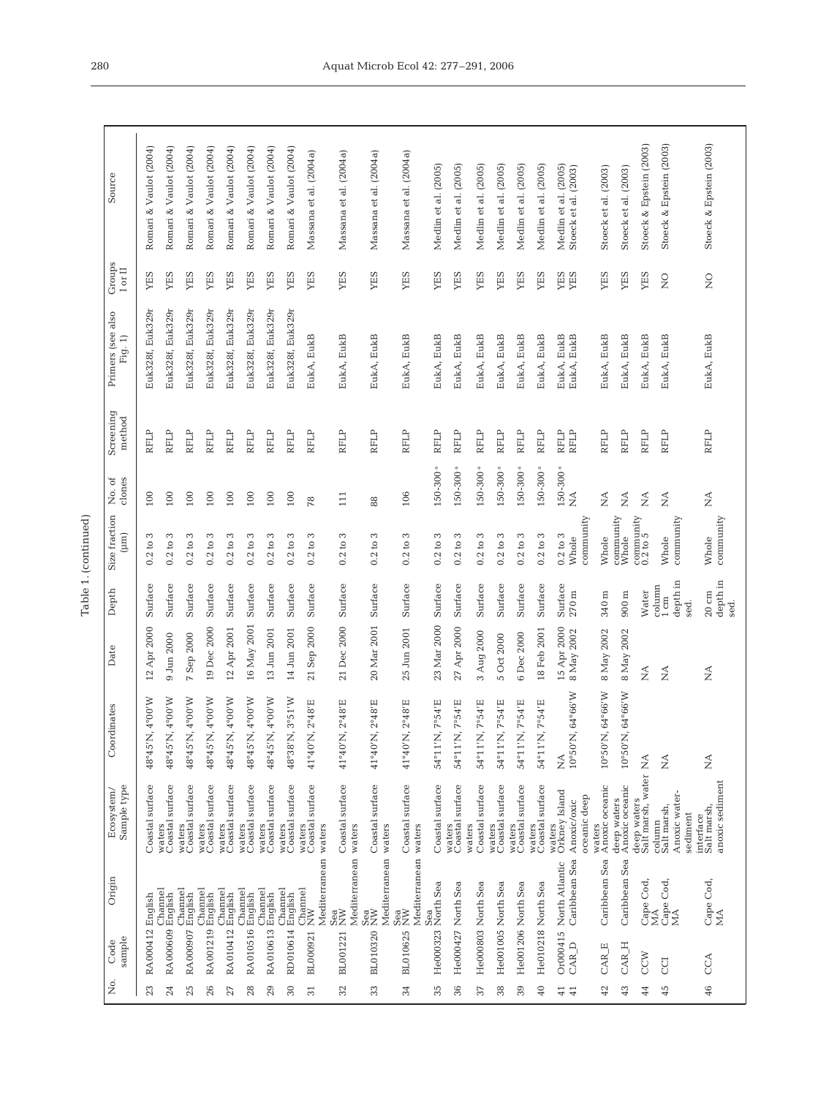| ۹      |  |
|--------|--|
| ı<br>٢ |  |
| ٢      |  |

| Origin<br>sample<br>Code                                                                                                        |  | Sample type<br>Ecosystem/ | Coordinates                                                  | Date                                                                     | Depth                                        | Size fraction<br>(mn)                                                  | clones<br>No. of                                       | Screening<br>method | Primers (see also<br>Fig. 1) | Groups<br>$_{\rm I~or~II}$ | Source                                       |  |
|---------------------------------------------------------------------------------------------------------------------------------|--|---------------------------|--------------------------------------------------------------|--------------------------------------------------------------------------|----------------------------------------------|------------------------------------------------------------------------|--------------------------------------------------------|---------------------|------------------------------|----------------------------|----------------------------------------------|--|
| Coastal surface<br>English<br>RA000412                                                                                          |  |                           | $4^{\circ}00^{\prime}$ W<br>48°45'N,                         | 12 Apr 2000                                                              | Surface                                      | S<br>0.2 to                                                            | 100                                                    | RFLP                | Euk328f, Euk329r             | YES                        | Romari & Vaulot (2004)                       |  |
| waters<br>Coastal surface<br>Channel<br>RA000609 English                                                                        |  |                           | W00 <sub>o</sub><br>48°45'N                                  | 9 Jun 2000                                                               | Surface                                      | $0.2$ to $3$                                                           | 100                                                    | <b>RFLP</b>         | Euk328f, Euk329r             | YES                        | Romari & Vaulot (2004)                       |  |
| waters<br>Coastal surface<br>Channel<br>RA000907 English                                                                        |  |                           | $4^{\circ}00^{\prime}{\rm W}$<br>48°45'N,                    | Sep 2000<br>$\overline{r}$                                               | Surface                                      | S<br>0.2 to                                                            | 100                                                    | RFLP                | Euk328f, Euk329r             | YES                        | Romari & Vaulot (2004)                       |  |
| waters<br>Coastal surface<br>Channel<br>RA001219 English                                                                        |  |                           | 48°45'N, 4°00'W                                              | 19 Dec 2000                                                              | Surface                                      | S<br>0.2 to                                                            | 100                                                    | RFLP                | Euk328f, Euk329r             | YES                        | Romari & Vaulot (2004)                       |  |
| Coastal surface<br>waters<br>Channel<br>RA010412 English                                                                        |  |                           | $4^{\circ}00^{\circ}$ W<br>48°45'N,                          | 12 Apr 2001                                                              | Surface                                      | $0.2$ to $3$                                                           | $100\,$                                                | <b>RFLP</b>         | Euk328f, Euk329r             | YES                        | Romari & Vaulot (2004)                       |  |
| waters<br>Coastal surface<br>Channel<br>RA010516 English                                                                        |  |                           | $4^{\circ}00^{\prime}{\rm W}$<br>48°45'N,                    | 16 May 2001                                                              | Surface                                      | S<br>0.2 to                                                            | 100                                                    | RFLP                | Euk328f, Euk329r             | YES                        | Romari & Vaulot (2004)                       |  |
| waters<br>Coastal surface<br>Channel<br>RA010613 English                                                                        |  |                           | $4000$ W<br>48°45'N,                                         | 13 Jun 2001                                                              | Surface                                      | S<br>0.2 to                                                            | 100                                                    | RFLP                | Euk328f, Euk329r             | YES                        | Romari & Vaulot (2004)                       |  |
| waters<br>Coastal surface<br>Channel<br>RD010614 English                                                                        |  |                           | 3°51'W<br>48°38'N                                            | 14 Jun 2001                                                              | Surface                                      | $0.2$ to $3$                                                           | $100\,$                                                | <b>RFLP</b>         | Euk328f, Euk329r             | YES                        | Romari & Vaulot (2004)                       |  |
| waters<br>Coastal surface<br>waters<br>Mediterranean<br>$\begin{array}{ll} \text{Channel} \\ \text{NW} \end{array}$<br>BL000921 |  |                           | $2^{\circ}48'\mathrm{E}$<br>41°40'N                          | 21 Sep 2000                                                              | Surface                                      | S<br>0.2 to                                                            | 78                                                     | RFLP                | EukA, EukB                   | YES                        | Massana et al. (2004a)                       |  |
| Coastal surface<br>waters<br>Mediterranean<br>Sea<br>NW<br>BL001221                                                             |  |                           | $2^{\circ}48^{\circ}E$<br>41°40'N                            | 21 Dec 2000                                                              | Surface                                      | S<br>0.2 to                                                            | 111                                                    | RFLP                | EukA, EukB                   | YES                        | Massana et al. (2004a)                       |  |
| Coastal surface<br>waters<br>Mediterranean<br>Sea<br>NW<br>BL010320                                                             |  |                           | 2°48'E<br>41°40'N                                            | 20 Mar 2001                                                              | Surface                                      | S<br>0.2 to                                                            | 88                                                     | <b>RFLP</b>         | EukA, EukB                   | YES                        | Massana et al. (2004a)                       |  |
| Coastal surface<br>waters<br>Mediterranean<br>Sea<br>NW<br>BL010625                                                             |  |                           | $2^{\circ}48^{\circ}E$<br>$41^{\circ}40^{\prime}$ N          | 25 Jun 2001                                                              | Surface                                      | S<br>0.2 to                                                            | 106                                                    | <b>RFLP</b>         | EukA, EukB                   | <b>AES</b>                 | Massana et al. (2004a)                       |  |
| Coastal surface<br>Sea<br>He000323 North Sea                                                                                    |  |                           | 7°54'E<br>54°11'N                                            | 23 Mar 2000                                                              | Surface                                      | S<br>0.2 to                                                            | $150 - 300$ <sup>a</sup>                               | <b>RFLP</b>         | EukA, EukB                   | YES                        | Medlin et al. (2005)                         |  |
| surface<br>waters<br>Coastal:<br>He000427 North Sea                                                                             |  |                           | 7°54'E<br>54°11'N                                            | 27 Apr 2000                                                              | Surface                                      | S<br>0.2 to                                                            | $150 - 300$ <sup>a</sup>                               | <b>RFLP</b>         | EukA, EukB                   | YES                        | Medlin et al. (2005)                         |  |
| Coastal surface<br>waters<br>He000803 North Sea                                                                                 |  |                           | 7°54'E<br>54°11'N                                            | 3 Aug 2000                                                               | Surface                                      | S<br>0.2 to                                                            | $150 - 300$ <sup>a</sup>                               | <b>RFLP</b>         | EukA, EukB                   | YES                        | Medlin et al. (2005)                         |  |
| surface<br>waters<br>Coastal:<br>He001005 North Sea                                                                             |  |                           | 7°54'E<br>54°11'N                                            | 5 Oct 2000                                                               | Surface                                      | S<br>0.2 to                                                            | $150 - 300$ <sup>a</sup>                               | <b>RFLP</b>         | EukA, EukB                   | YES                        | Medlin et al. (2005)                         |  |
| waters<br>Coastal surface<br>He001206 North Sea                                                                                 |  |                           | 7°54'E<br>54°11'N                                            | 6 Dec 2000                                                               | Surface                                      | $0.2$ to $3$                                                           | $150 - 300$ <sup>a</sup>                               | <b>RFLP</b>         | EukA, EukB                   | YES                        | Medlin et al. (2005)                         |  |
| waters<br>Coastal surface<br>He010218 North Sea                                                                                 |  |                           | 7°54'E<br>54°11'N                                            | 18 Feb 2001                                                              | Surface                                      | $0.2$ to $3$                                                           | $150 - 300$ <sup>a</sup>                               | <b>RFLP</b>         | EukA, EukB                   | YES                        | Medlin et al. (2005)                         |  |
| waters<br>Orkney Island<br>oceanic deep<br>Anoxic/oxic<br>Caribbean Sea<br>North Atlantic<br>Or000415<br>CAR D                  |  |                           | 64°66'W<br>$10^{\circ}50'$ N,<br>$\stackrel{\triangle}{\Xi}$ | $15 \mathrm{\;Apr}\ 2000 \newline \hspace*{1.5em}8 \mathrm{\;May}\ 2002$ | Surface<br>$270\;{\rm m}$                    | community<br>$0.2$ to $3$<br>Whole                                     | $150 - 300$ <sup>a</sup><br>$\mathbb{A}^{\mathcal{A}}$ | <b>RFLP</b><br>RFLP | EukA, EukB<br>EukA, EukB     | <b>SHA</b><br>SHA          | Medlin et al. (2005)<br>Stoeck et al. (2003) |  |
| Anoxic oceanic<br>waters<br>Caribbean Sea<br>CAR_E                                                                              |  |                           | 64°66'W<br>$10^{\circ}50^{\prime}$ N                         | 8 May 2002                                                               | 340 m                                        | Whole                                                                  | ₹                                                      | RFLP                | EukA, EukB                   | <b>ATES</b>                | Stoeck et al. (2003)                         |  |
| deep waters<br>Anoxic oceanic<br>Caribbean Sea<br>CAR_H                                                                         |  |                           | 64°66'W<br>$10^{\circ}50'$ N,                                | 8 May 2002                                                               | $900~\mathrm{m}$                             | community<br>Whole                                                     | $\stackrel{\triangle}{\scriptstyle\sim}$               | <b>RFLP</b>         | EukA, EukB                   | YES                        | Stoeck et al. (2003)                         |  |
| Saltmarsh, water<br>deep waters<br>Cape Cod,<br>MA<br>CCW                                                                       |  |                           | $\stackrel{\triangle}{\simeq}$                               | $\stackrel{\triangle}{\simeq}$                                           | Water                                        | $\begin{array}{c} \textrm{community} \\ \textrm{0.2 to 5} \end{array}$ | $\stackrel{\triangle}{\scriptstyle\sim}$               | RFLP                | EukA, EukB                   | YES                        | Stoeck & Epstein (2003)                      |  |
| Anoxic water-<br>Salt marsh,<br>sediment<br>column<br>Cape Cod,<br>MA<br>UCI                                                    |  |                           | ź                                                            | $\mathbb{A}^{\mathcal{A}}$                                               | depth in<br>column<br>$1 \text{ cm}$<br>sed. | community<br>Whole                                                     | $\stackrel{\triangle}{\simeq}$                         | <b>RFLP</b>         | EukA, EukB                   | $\overline{Q}$             | Stoeck & Epstein (2003)                      |  |
| anoxic sediment<br>interface<br>Salt marsh,<br>Cape Cod,<br>MA<br>CCA                                                           |  |                           | ≸                                                            | ź                                                                        | depth in<br>$20\ {\rm cm}$<br>sed.           | community<br>Whole                                                     | $\mathop{\simeq}_\mathbf{Z}$                           | RFLP                | EukA, EukB                   | $\frac{1}{2}$              | Stoeck & Epstein (2003)                      |  |
|                                                                                                                                 |  |                           |                                                              |                                                                          |                                              |                                                                        |                                                        |                     |                              |                            |                                              |  |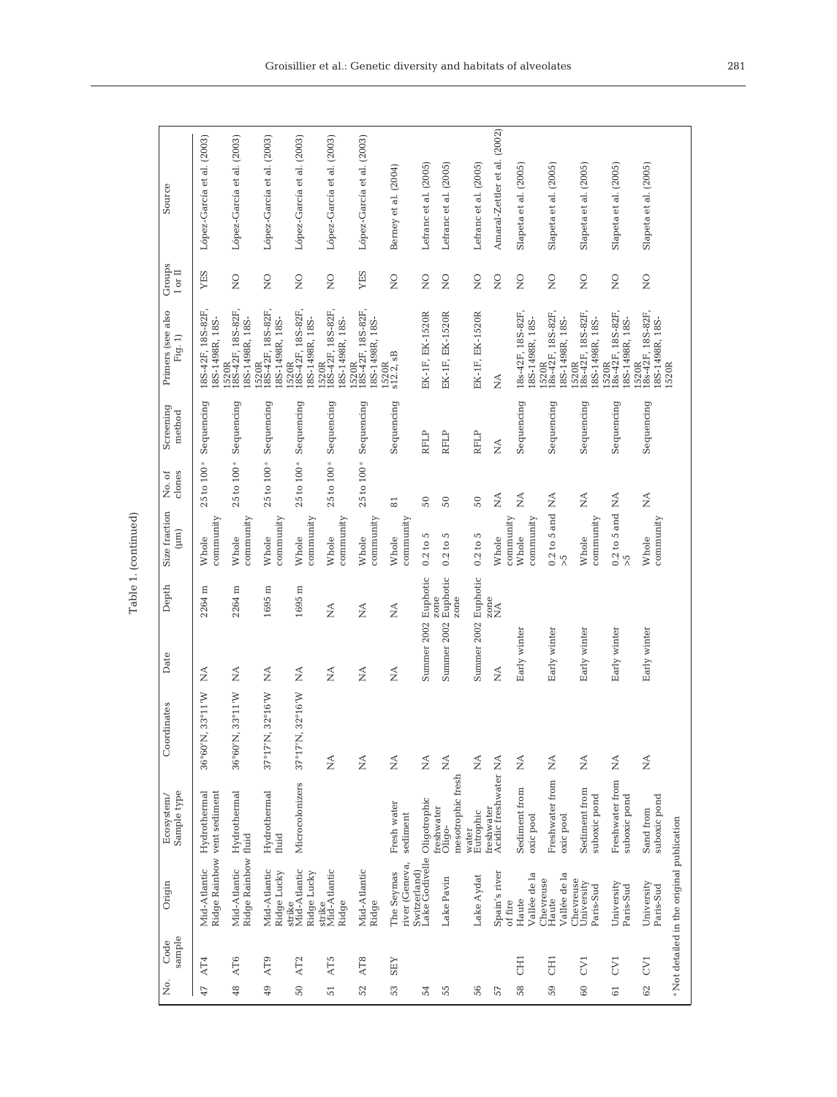| ۳           |  |
|-------------|--|
| п<br>i<br>ŕ |  |

| Source                              | López-García et al. (2003)                           | López-García et al. (2003)                           | López-García et al. (2003)                           | López-García et al. (2003)                            | López-García et al. (2003)                           | López-García et al. (2003)                               | Berney et al. (2004)         | Lefranc et al. (2005)                       | Lefranc et al. (2005)                     | Lefranc et al. (2005) | Amaral-Zettler et al. (2002)                             | Slapeta et al. (2005)                    | Slapeta et al. (2005)                         | Slapeta et al. (2005)                                | Slapeta et al. (2005)                                | Slapeta et al. (2005)                                          |                                                       |
|-------------------------------------|------------------------------------------------------|------------------------------------------------------|------------------------------------------------------|-------------------------------------------------------|------------------------------------------------------|----------------------------------------------------------|------------------------------|---------------------------------------------|-------------------------------------------|-----------------------|----------------------------------------------------------|------------------------------------------|-----------------------------------------------|------------------------------------------------------|------------------------------------------------------|----------------------------------------------------------------|-------------------------------------------------------|
| Groups<br>$\rm I$ or $\bar{\rm II}$ | YES                                                  | $\frac{0}{\mathbf{Z}}$                               | $\frac{0}{2}$                                        | $\frac{0}{\mathbf{Z}}$                                | $\frac{0}{2}$                                        | YES                                                      | $\overline{Q}$               | $\overline{S}$                              | $\frac{0}{2}$                             | $\frac{0}{2}$         | $\overline{Q}$                                           | $\overline{a}$                           | $\frac{0}{\mathbf{Z}}$                        | $\frac{0}{2}$                                        | $\frac{0}{\mathbf{Z}}$                               | $\frac{0}{\mathbf{X}}$                                         |                                                       |
| Primers (see also<br>Fig. 1)        | 18S-42F, 18S-82F,<br>18S-1498R, 18S-                 | $1520R$<br>$18S-42F$ , $18S-82F$ ,<br>8S-1498R, 18S- | $\frac{1520R}{18S-42F, 18S-82F,}$<br>18S-1498R, 18S- | $1520R$<br>$18S-42F$ , $18S-82F$ ,<br>L8S-1498R, 18S- | $\frac{1520R}{18S-42F, 18S-82F,}$<br>18S-1498R, 18S- | $1520R$<br>$18S-42F$ , $18S-82F$ ,<br>18S-1498R, 18S-    | $1520R$<br>$s12.2, sB$       | EK-1F, EK-1520R                             | EK-1F, EK-1520R                           | EK-1F, EK-1520R       | $\stackrel{\triangle}{\scriptstyle\sim}$                 | 18s-42F, 18S-82F,<br>18S-1498R, 18S-     | 1520R<br>18s-42F, 18S-82F,<br>18S-1498R, 18S- | $\frac{1520R}{18s-42F}$ , 18S-82F,<br>8S-1498R, 18S- | $\frac{1520R}{18s-42F}$ , 18S-82F,<br>8S-1498R, 18S- | $\frac{1520R}{18s-42F}$ , 18S-82F,<br>18S-1498R, 18S-<br>1520R |                                                       |
| Screening<br>method                 | Sequencing                                           | Sequencing                                           | Sequencing                                           | Sequencing                                            | Sequencing                                           | Sequencing                                               | Sequencing                   | <b>RFLP</b>                                 | RFLP                                      | RFLP                  | $\stackrel{\triangle}{\scriptstyle\sim}$                 | Sequencing                               | Sequencing                                    | Sequencing                                           | Sequencing                                           | Sequencing                                                     |                                                       |
| dones<br>No. of                     | $25$ to $100$ <sup>a</sup>                           | $25$ to $100^{\mathrm{a}}$                           | $25$ to $100^a$                                      | $25$ to $100^a$                                       | $25$ to $100^a$                                      | $25$ to $100^a$                                          | $\overline{81}$              | 50                                          | 50                                        | 50                    | $\stackrel{\triangle}{\scriptstyle\sim}$                 | $\stackrel{\triangle}{\scriptstyle\sim}$ | Ź                                             | $\stackrel{\triangle}{\scriptstyle\sim}$             | $\mathbb{A}^{\mathbb{A}}$                            | $\stackrel{\triangle}{\simeq}$                                 |                                                       |
| Size fraction<br>$(\mu m)$          | community<br>Whole                                   | community<br>Whole                                   | community<br>Whole                                   | community<br>Whole                                    | community<br>Whole                                   | community<br>Whole                                       | community<br>Whole           | $0.2$ to 5                                  | 5<br>0.2 to:                              | $0.2$ to 5            | community<br>Whole                                       | community<br>Whole                       | $0.2$ to 5 and<br>$\frac{5}{2}$               | community<br>Whole                                   | $0.2$ to 5 and<br>$\overline{\lambda}$               | community<br>Whole                                             |                                                       |
| Depth                               | 2264 m                                               | Ξ<br>2264                                            | $1695 \text{ m}$                                     | 1695 m                                                | $\frac{4}{2}$                                        | $\frac{4}{2}$                                            | $\lessapprox$                | Summer 2002 Euphotic                        | Euphotic<br>zone<br>zone                  | Euphotic              | zone<br>NA                                               |                                          |                                               |                                                      |                                                      |                                                                |                                                       |
| Date                                | $\mathop{\simeq}_{\mathop{\rm \mathsf{Z}}\nolimits}$ | Ź                                                    | Ź                                                    | Ź                                                     | $\mathop{\simeq}_{\mathbf{Z}}$                       | $\mathop{\leq}\limits_{{\mathop{\rm {\bf Z}}}\nolimits}$ | $\stackrel{\triangle}{\geq}$ |                                             | Summer 2002                               | Summer 2002           | $\mathop{\leq}\limits_{{\mathop{\rm {\bf Z}}}\nolimits}$ | Early winter                             | Early winter                                  | Early winter                                         | Early winter                                         | Early winter                                                   |                                                       |
| Coordinates                         | 33°11'W<br>36°60'N,                                  | 33°11'W<br>36°60'N,                                  | $32^{\circ}16^{\prime}W$<br>37°17'N,                 | 32°16'W<br>37°17'N,                                   | $\lessapprox$                                        | $\stackrel{\triangle}{\geq}$                             | $\lessapprox$                | $\stackrel{\triangle}{\geq}$                | $\stackrel{\triangle}{\simeq}$            | $\lessapprox$         |                                                          | $\stackrel{\triangle}{\geq}$             | $\lessapprox$                                 | $\lesssim$                                           | $\mathbb{E}$                                         | $\stackrel{\triangle}{\geq}$                                   |                                                       |
| Sample type<br>Ecosystem/           | Ridge Rainbow vent sediment<br>Hydrothermal          | Hydrothermal                                         | Hydrothermal<br>fluid                                | Microcolonizers                                       |                                                      |                                                          | Fresh water<br>sediment      |                                             | mesotrophic fresh<br>freshwater<br>Oligo- | Eutrophic<br>water    | freshwater<br>Acidic freshwater NA                       | Sediment from<br>oxic pool               | Freshwater from<br>oxic pool                  | Sediment from<br>suboxic pond                        | Freshwater from<br>suboxic pond                      | suboxic pond<br>Sand from                                      |                                                       |
| Origin                              | Mid-Atlantic                                         | Ridge Rainbow fluid<br>Mid-Atlantic                  | Mid-Atlantic<br>Ridge Lucky                          | Mid-Atlantic<br>Ridge Lucky<br>strike                 | strike<br>Mid-Atlantic<br>Ridge                      | Mid-Atlantic<br>Ridge                                    | river (Geneva,<br>The Seymas | Switzerland)<br>Lake Godivelle Oligotrophic | Lake Pavin                                | Lake Aydat            | Spain's river<br>of fire                                 | Vallée de la<br>Haute                    | Vallée de la<br>Chevreuse<br>Haute            | Chevreuse<br>University<br>Paris-Sud                 | University<br>Paris-Sud                              | University<br>Paris-Sud                                        |                                                       |
| sample<br>Code                      | AT4                                                  | AT6                                                  | AT9                                                  | AT <sub>2</sub>                                       | AT5                                                  | AT <sub>8</sub>                                          | <b>ZES</b>                   |                                             |                                           |                       |                                                          | CH <sub>1</sub>                          | EE                                            | EV <sub>1</sub>                                      | CV <sub>1</sub>                                      | CV <sub>1</sub>                                                |                                                       |
| ģ.                                  | 47                                                   | 48                                                   | 49                                                   | 50                                                    | $\overline{51}$                                      | 52                                                       | 53                           | 54                                          | 55                                        | 56                    | 57                                                       | 58                                       | 59                                            | 60                                                   | 61                                                   | 62                                                             | <sup>a</sup> Not detailed in the original publication |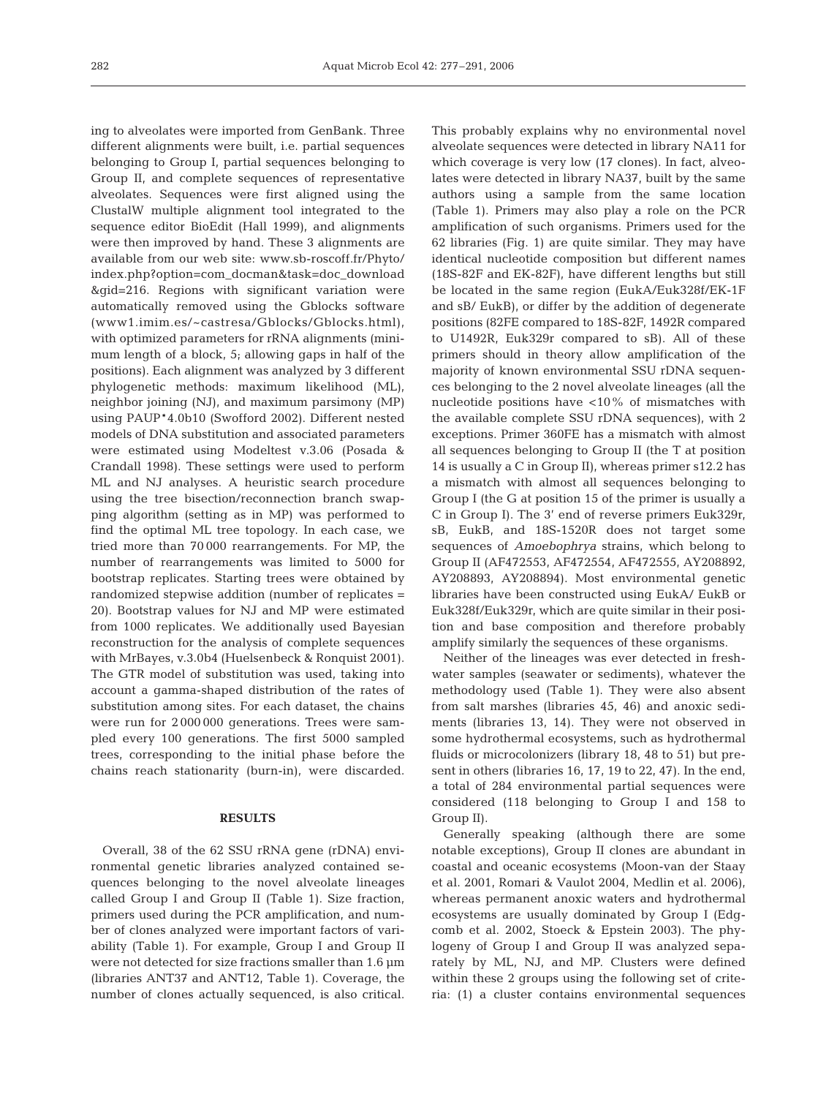ing to alveolates were imported from GenBank. Three different alignments were built, i.e. partial sequences belonging to Group I, partial sequences belonging to Group II, and complete sequences of representative alveolates. Sequences were first aligned using the ClustalW multiple alignment tool integrated to the sequence editor BioEdit (Hall 1999), and alignments were then improved by hand. These 3 alignments are available from our web site: www.sb-roscoff.fr/Phyto/ index.php?option=com\_docman&task=doc\_download &gid=216. Regions with significant variation were automatically removed using the Gblocks software (www1.imim.es/~castresa/Gblocks/Gblocks.html), with optimized parameters for rRNA alignments (minimum length of a block, 5; allowing gaps in half of the positions). Each alignment was analyzed by 3 different phylogenetic methods: maximum likelihood (ML), neighbor joining (NJ), and maximum parsimony (MP) using PAUP\*4.0b10 (Swofford 2002). Different nested models of DNA substitution and associated parameters were estimated using Modeltest v.3.06 (Posada & Crandall 1998). These settings were used to perform ML and NJ analyses. A heuristic search procedure using the tree bisection/reconnection branch swapping algorithm (setting as in MP) was performed to find the optimal ML tree topology. In each case, we tried more than 70 000 rearrangements. For MP, the number of rearrangements was limited to 5000 for bootstrap replicates. Starting trees were obtained by randomized stepwise addition (number of replicates = 20). Bootstrap values for NJ and MP were estimated from 1000 replicates. We additionally used Bayesian reconstruction for the analysis of complete sequences with MrBayes, v.3.0b4 (Huelsenbeck & Ronquist 2001). The GTR model of substitution was used, taking into account a gamma-shaped distribution of the rates of substitution among sites. For each dataset, the chains were run for 2 000 000 generations. Trees were sampled every 100 generations. The first 5000 sampled trees, corresponding to the initial phase before the chains reach stationarity (burn-in), were discarded.

### **RESULTS**

Overall, 38 of the 62 SSU rRNA gene (rDNA) environmental genetic libraries analyzed contained sequences belonging to the novel alveolate lineages called Group I and Group II (Table 1). Size fraction, primers used during the PCR amplification, and number of clones analyzed were important factors of variability (Table 1). For example, Group I and Group II were not detected for size fractions smaller than 1.6 µm (libraries ANT37 and ANT12, Table 1). Coverage, the number of clones actually sequenced, is also critical.

This probably explains why no environmental novel alveolate sequences were detected in library NA11 for which coverage is very low (17 clones). In fact, alveolates were detected in library NA37, built by the same authors using a sample from the same location (Table 1). Primers may also play a role on the PCR amplification of such organisms. Primers used for the 62 libraries (Fig. 1) are quite similar. They may have identical nucleotide composition but different names (18S-82F and EK-82F), have different lengths but still be located in the same region (EukA/Euk328f/EK-1F and sB/ EukB), or differ by the addition of degenerate positions (82FE compared to 18S-82F, 1492R compared to U1492R, Euk329r compared to sB). All of these primers should in theory allow amplification of the majority of known environmental SSU rDNA sequences belonging to the 2 novel alveolate lineages (all the nucleotide positions have <10% of mismatches with the available complete SSU rDNA sequences), with 2 exceptions. Primer 360FE has a mismatch with almost all sequences belonging to Group II (the T at position 14 is usually a C in Group II), whereas primer s12.2 has a mismatch with almost all sequences belonging to Group I (the G at position 15 of the primer is usually a C in Group I). The 3' end of reverse primers Euk329r, sB, EukB, and 18S-1520R does not target some sequences of *Amoebophrya* strains, which belong to Group II (AF472553, AF472554, AF472555, AY208892, AY208893, AY208894). Most environmental genetic libraries have been constructed using EukA/ EukB or Euk328f/Euk329r, which are quite similar in their position and base composition and therefore probably amplify similarly the sequences of these organisms.

Neither of the lineages was ever detected in freshwater samples (seawater or sediments), whatever the methodology used (Table 1). They were also absent from salt marshes (libraries 45, 46) and anoxic sediments (libraries 13, 14). They were not observed in some hydrothermal ecosystems, such as hydrothermal fluids or microcolonizers (library 18, 48 to 51) but present in others (libraries 16, 17, 19 to 22, 47). In the end, a total of 284 environmental partial sequences were considered (118 belonging to Group I and 158 to Group II).

Generally speaking (although there are some notable exceptions), Group II clones are abundant in coastal and oceanic ecosystems (Moon-van der Staay et al. 2001, Romari & Vaulot 2004, Medlin et al. 2006), whereas permanent anoxic waters and hydrothermal ecosystems are usually dominated by Group I (Edgcomb et al. 2002, Stoeck & Epstein 2003). The phylogeny of Group I and Group II was analyzed separately by ML, NJ, and MP. Clusters were defined within these 2 groups using the following set of criteria: (1) a cluster contains environmental sequences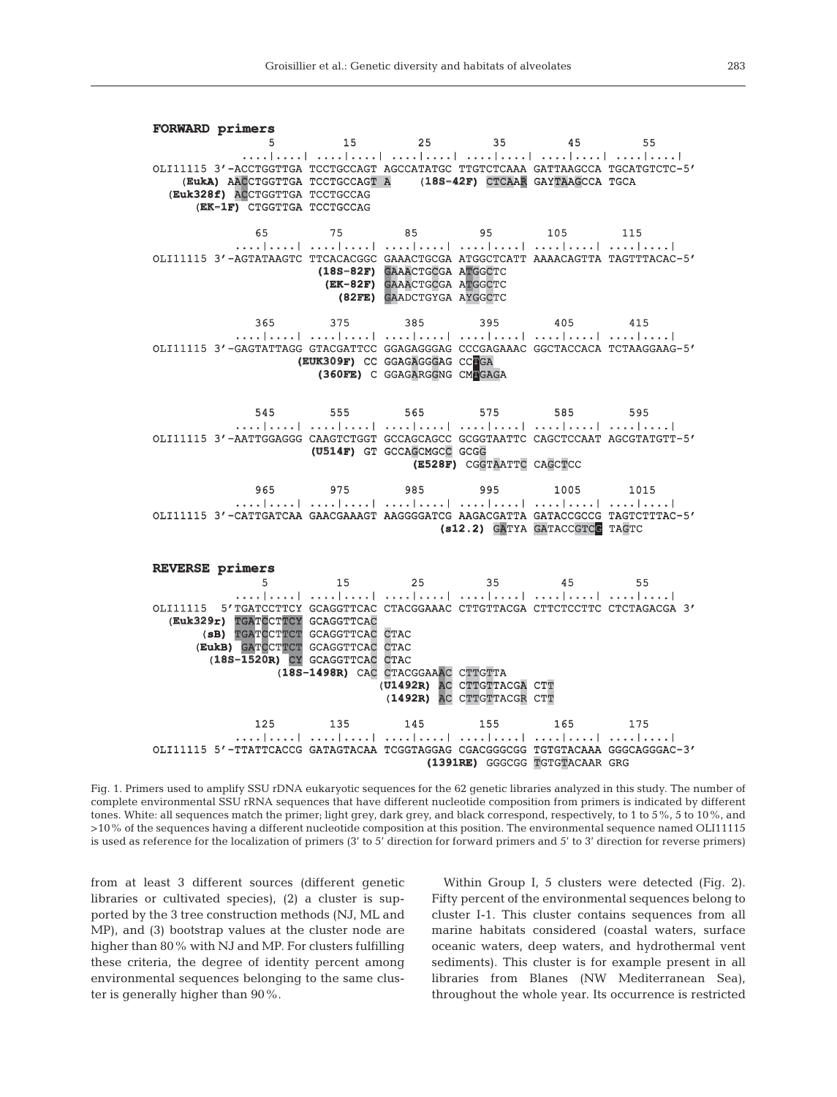**FORWARD primers**  5 15 25 35 45 55 | ....| ..... | ....| ....| ....| ..... | .....| .....| .....| ....| ....| ....| ....| ....| ....| OLI11115 3'-ACCTGGTTGA TCCTGCCAGT AGCCATATGC TTGTCTCAAA GATTAAGCCA TGCATGTCTC-5' (EukA) AACCTGGTTGA TCCTGCCAGT A (18S-42F) CTCAAR GAYTAAGCCA TGCA (Euk328f) ACCTGGTTGA TCCTGCCAG (EK-1F) CTGGTTGA TCCTGCCAG 65 75 85 95 105 1 115 ....|....| ....|....| ....|....| ....|....| ....|....| ....|... ....|....| OLI11115 3'-AGTATAAGTC TTCACACGGC GAAACTGCGA ATGGCTCATT AAAACAGTTA TAGTTTACAC-5' **(18S-82F)** GAAACTGCGA ATGGCTC **(EK-82F)** GAAACTGCGA ATGGCTC **(82FE)** GAADCTGYGA AYGGCTC 365 375 385 395 405 4 415 | ....| .....| .....| .....| ....| .....| .....| .....| .....| ....| .....| .....| .....| .....| OLI11115 3'-GAGTATTAGG GTACGATTCC GGAGAGGGAG CCCGAGAAAC GGCTACCACA TCTAAGGAAG-5' **(EUK309F)** CC GGAGAGGGAG CCOGA **(360FE)** C GGAGARGGNG CMTGAGA 545 555 565 575 585 5 595 ....|....| ....|....| ....|....| ....|....| ....|....| ....|... ....|....| OLI11115 3'-AATTGGAGGG CAAGTCTGGT GCCAGCAGCC GCGGTAATTC CAGCTCCAAT AGCGTATGTT-5' (U514F) GT GCCAGCMGCC GCGG **(E528F)** CGGTAATTC CAGCTCC 965 975 985 995 1005 10 1015 ....|....| ....|....| ....|....| ....|....| ....|....| ....|... ....|....| OLI11115 3'-CATTGATCAA GAACGAAAGT AAGGGGATCG AAGACGATTA GATACCGCCG TAGTCTTTAC-5' **(s12.2)** GATYA GATACCGTCG TAGTC **REVERSE primers primers**  5 15 25 35 45 55  $5 \qquad 15 \qquad 25 \qquad 35 \qquad 45 \qquad 55$ <br>...|....| ....|....| ....|....| ....|....| ....|....| ....|....| OLI11115 5'TGATCCTTCY GCAGGTTCAC CTACGGAAAC CTTGTTACGA CTTCTCCTTC CTCTAGACGA 3 3' (Euk329r) TGATCCTTCY GCAGGTTCAC (8B) TGATCCTTCT GCAGGTTCAC CTAC (EukB) GATCCTTCT GCAGGTTCAC CTAC (18S-1520R) CY GCAGGTTCAC CTAC (18S-1498R) CAC CTACGGAAAC CTTGTTA (**U1492R)** AC CTTGTTACGA CTT (1492R) AC CTTGTTACGR CTT 125 135 145 155 165 1 175 | ....| ..... | .....| .....| ....| .....| .....| .....| .....| .....| .....| .....| .....| .....| OLI11115 5'-TTATTCACCG GATAGTACAA TCGGTAGGAG CGACGGGCGG TGTGTACAAA GGGCAGGGAC-3' **(1391RE)** GGGCGG TGTGTACAAR GRG

Fig. 1. Primers used to amplify SSU rDNA eukaryotic sequences for the 62 genetic libraries analyzed in this study. The number of complete environmental SSU rRNA sequences that have different nucleotide composition from primers is indicated by different tones. White: all sequences match the primer; light grey, dark grey, and black correspond, respectively, to 1 to 5%, 5 to 10%, and >10% of the sequences having a different nucleotide composition at this position. The environmental sequence named OLI11115 is used as reference for the localization of primers (3' to 5' direction for forward primers and 5' to 3' direction for reverse primers)

from at least 3 different sources (different genetic libraries or cultivated species), (2) a cluster is supported by the 3 tree construction methods (NJ, ML and MP), and (3) bootstrap values at the cluster node are higher than 80% with NJ and MP. For clusters fulfilling these criteria, the degree of identity percent among environmental sequences belonging to the same cluster is generally higher than 90%.

Within Group I, 5 clusters were detected (Fig. 2). Fifty percent of the environmental sequences belong to cluster I-1. This cluster contains sequences from all marine habitats considered (coastal waters, surface oceanic waters, deep waters, and hydrothermal vent sediments). This cluster is for example present in all libraries from Blanes (NW Mediterranean Sea), throughout the whole year. Its occurrence is restricted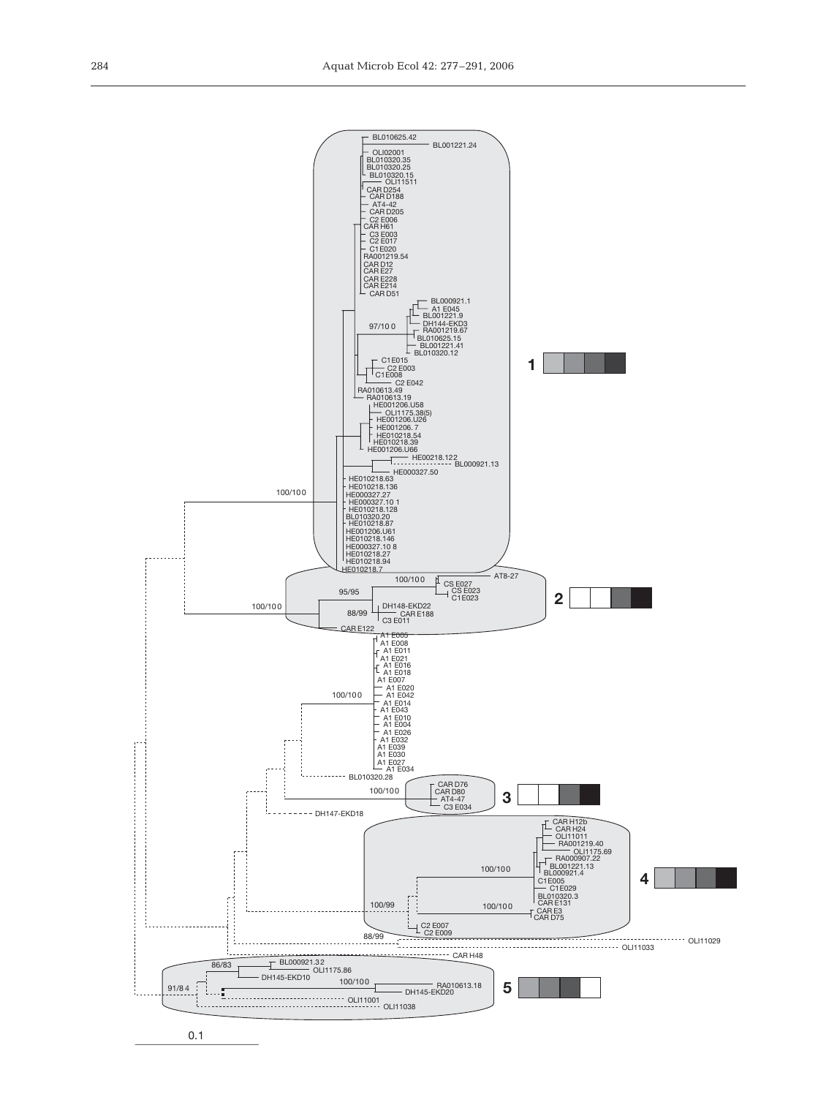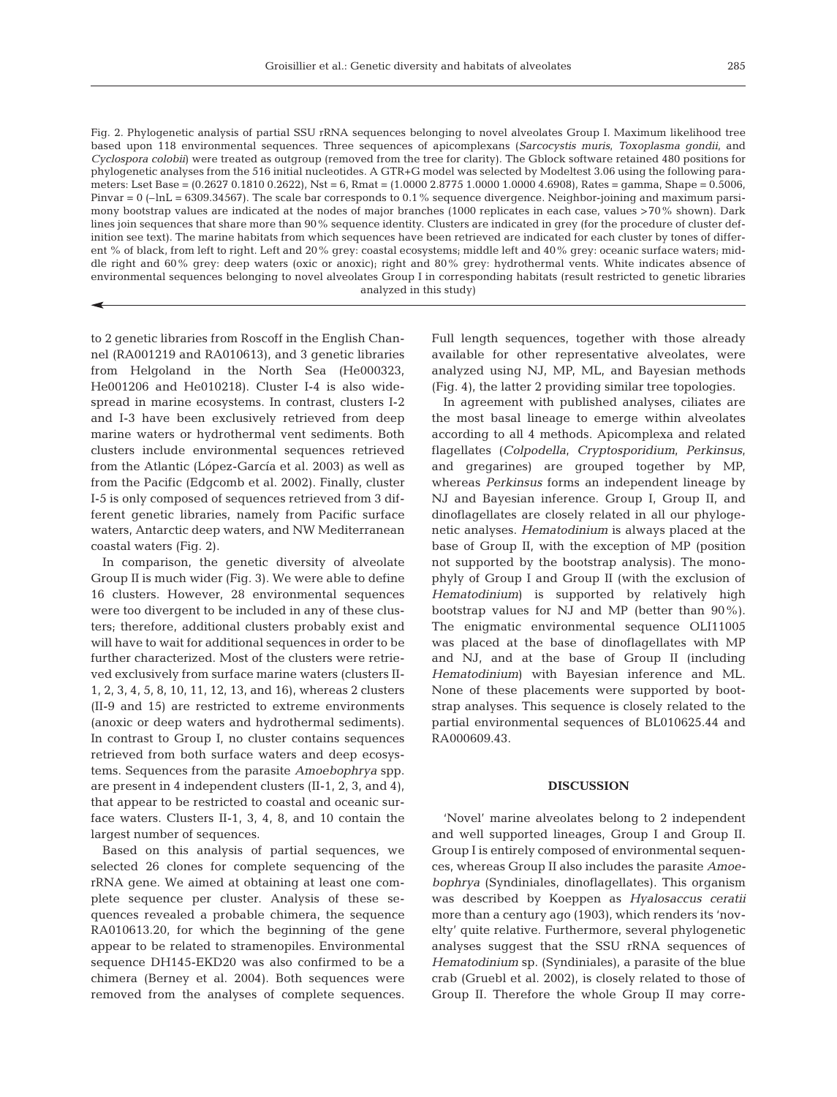285

Fig. 2. Phylogenetic analysis of partial SSU rRNA sequences belonging to novel alveolates Group I. Maximum likelihood tree based upon 118 environmental sequences. Three sequences of apicomplexans (*Sarcocystis muris*, *Toxoplasma gondii*, and *Cyclospora colobii*) were treated as outgroup (removed from the tree for clarity). The Gblock software retained 480 positions for phylogenetic analyses from the 516 initial nucleotides. A GTR+G model was selected by Modeltest 3.06 using the following parameters: Lset Base = (0.2627 0.1810 0.2622), Nst = 6, Rmat = (1.0000 2.8775 1.0000 1.0000 4.6908), Rates = gamma, Shape = 0.5006, Pinvar  $= 0$  (-lnL  $= 6309.34567$ ). The scale bar corresponds to 0.1% sequence divergence. Neighbor-joining and maximum parsimony bootstrap values are indicated at the nodes of major branches (1000 replicates in each case, values >70% shown). Dark lines join sequences that share more than 90% sequence identity. Clusters are indicated in grey (for the procedure of cluster definition see text). The marine habitats from which sequences have been retrieved are indicated for each cluster by tones of different % of black, from left to right. Left and 20% grey: coastal ecosystems; middle left and 40% grey: oceanic surface waters; middle right and 60% grey: deep waters (oxic or anoxic); right and 80% grey: hydrothermal vents. White indicates absence of environmental sequences belonging to novel alveolates Group I in corresponding habitats (result restricted to genetic libraries analyzed in this study)

to 2 genetic libraries from Roscoff in the English Channel (RA001219 and RA010613), and 3 genetic libraries from Helgoland in the North Sea (He000323, He001206 and He010218). Cluster I-4 is also widespread in marine ecosystems. In contrast, clusters I-2 and I-3 have been exclusively retrieved from deep marine waters or hydrothermal vent sediments. Both clusters include environmental sequences retrieved from the Atlantic (López-García et al. 2003) as well as from the Pacific (Edgcomb et al. 2002). Finally, cluster I-5 is only composed of sequences retrieved from 3 different genetic libraries, namely from Pacific surface waters, Antarctic deep waters, and NW Mediterranean coastal waters (Fig. 2).

In comparison, the genetic diversity of alveolate Group II is much wider (Fig. 3). We were able to define 16 clusters. However, 28 environmental sequences were too divergent to be included in any of these clusters; therefore, additional clusters probably exist and will have to wait for additional sequences in order to be further characterized. Most of the clusters were retrieved exclusively from surface marine waters (clusters II-1, 2, 3, 4, 5, 8, 10, 11, 12, 13, and 16), whereas 2 clusters (II-9 and 15) are restricted to extreme environments (anoxic or deep waters and hydrothermal sediments). In contrast to Group I, no cluster contains sequences retrieved from both surface waters and deep ecosystems. Sequences from the parasite *Amoebophrya* spp. are present in 4 independent clusters (II-1, 2, 3, and 4), that appear to be restricted to coastal and oceanic surface waters. Clusters II-1, 3, 4, 8, and 10 contain the largest number of sequences.

Based on this analysis of partial sequences, we selected 26 clones for complete sequencing of the rRNA gene. We aimed at obtaining at least one complete sequence per cluster. Analysis of these sequences revealed a probable chimera, the sequence RA010613.20, for which the beginning of the gene appear to be related to stramenopiles. Environmental sequence DH145-EKD20 was also confirmed to be a chimera (Berney et al. 2004). Both sequences were removed from the analyses of complete sequences. Full length sequences, together with those already available for other representative alveolates, were analyzed using NJ, MP, ML, and Bayesian methods (Fig. 4), the latter 2 providing similar tree topologies.

In agreement with published analyses, ciliates are the most basal lineage to emerge within alveolates according to all 4 methods. Apicomplexa and related flagellates (*Colpodella*, *Cryptosporidium*, *Perkinsus*, and gregarines) are grouped together by MP, whereas *Perkinsus* forms an independent lineage by NJ and Bayesian inference. Group I, Group II, and dinoflagellates are closely related in all our phylogenetic analyses. *Hematodinium* is always placed at the base of Group II, with the exception of MP (position not supported by the bootstrap analysis). The monophyly of Group I and Group II (with the exclusion of *Hematodinium*) is supported by relatively high bootstrap values for NJ and MP (better than 90%). The enigmatic environmental sequence OLI11005 was placed at the base of dinoflagellates with MP and NJ, and at the base of Group II (including *Hematodinium*) with Bayesian inference and ML. None of these placements were supported by bootstrap analyses. This sequence is closely related to the partial environmental sequences of BL010625.44 and RA000609.43.

#### **DISCUSSION**

'Novel' marine alveolates belong to 2 independent and well supported lineages, Group I and Group II. Group I is entirely composed of environmental sequences, whereas Group II also includes the parasite *Amoebophrya* (Syndiniales, dinoflagellates). This organism was described by Koeppen as *Hyalosaccus ceratii* more than a century ago (1903), which renders its 'novelty' quite relative. Furthermore, several phylogenetic analyses suggest that the SSU rRNA sequences of *Hematodinium* sp. (Syndiniales), a parasite of the blue crab (Gruebl et al. 2002), is closely related to those of Group II. Therefore the whole Group II may corre-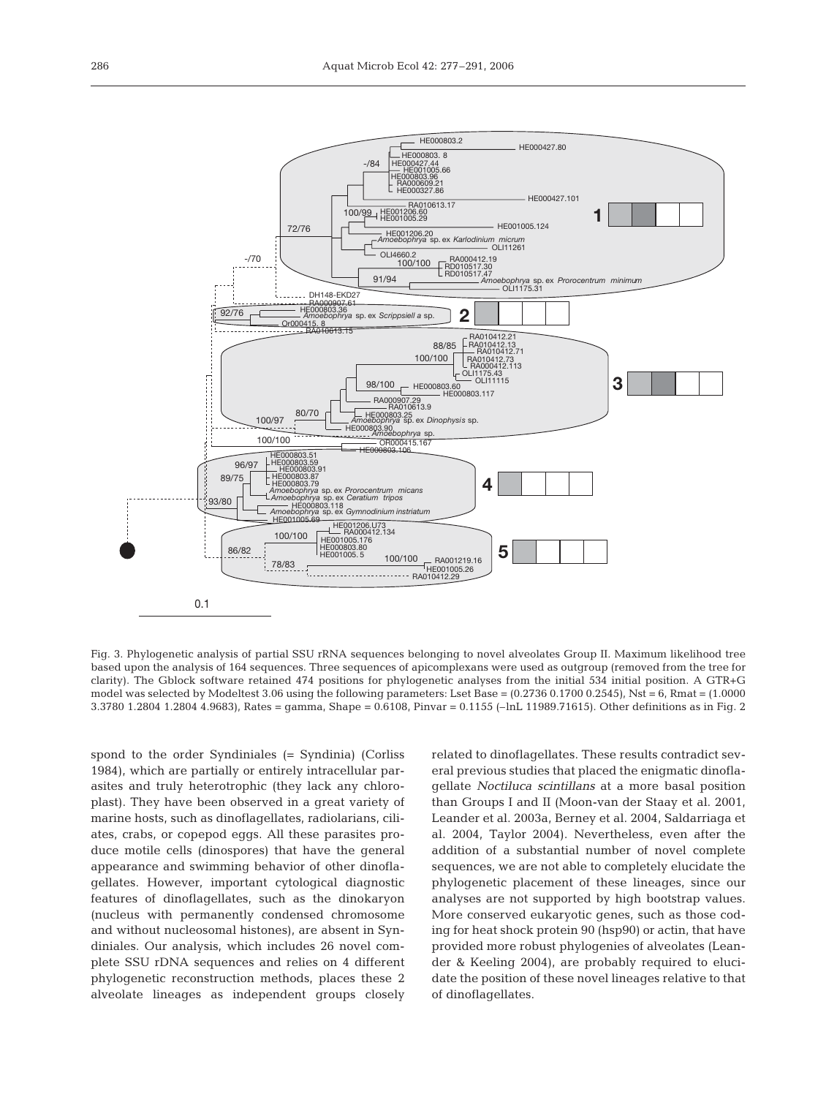

Fig. 3. Phylogenetic analysis of partial SSU rRNA sequences belonging to novel alveolates Group II. Maximum likelihood tree based upon the analysis of 164 sequences. Three sequences of apicomplexans were used as outgroup (removed from the tree for clarity). The Gblock software retained 474 positions for phylogenetic analyses from the initial 534 initial position. A GTR+G model was selected by Modeltest 3.06 using the following parameters: Lset Base =  $(0.2736\ 0.1700\ 0.2545)$ , Nst = 6, Rmat =  $(1.0000$ 3.3780 1.2804 1.2804 4.9683), Rates = gamma, Shape = 0.6108, Pinvar = 0.1155 (–lnL 11989.71615). Other definitions as in Fig. 2

spond to the order Syndiniales (= Syndinia) (Corliss 1984), which are partially or entirely intracellular parasites and truly heterotrophic (they lack any chloroplast). They have been observed in a great variety of marine hosts, such as dinoflagellates, radiolarians, ciliates, crabs, or copepod eggs. All these parasites produce motile cells (dinospores) that have the general appearance and swimming behavior of other dinoflagellates. However, important cytological diagnostic features of dinoflagellates, such as the dinokaryon (nucleus with permanently condensed chromosome and without nucleosomal histones), are absent in Syndiniales. Our analysis, which includes 26 novel complete SSU rDNA sequences and relies on 4 different phylogenetic reconstruction methods, places these 2 alveolate lineages as independent groups closely

related to dinoflagellates. These results contradict several previous studies that placed the enigmatic dinoflagellate *Noctiluca scintillans* at a more basal position than Groups I and II (Moon-van der Staay et al. 2001, Leander et al. 2003a, Berney et al. 2004, Saldarriaga et al. 2004, Taylor 2004). Nevertheless, even after the addition of a substantial number of novel complete sequences, we are not able to completely elucidate the phylogenetic placement of these lineages, since our analyses are not supported by high bootstrap values. More conserved eukaryotic genes, such as those coding for heat shock protein 90 (hsp90) or actin, that have provided more robust phylogenies of alveolates (Leander & Keeling 2004), are probably required to elucidate the position of these novel lineages relative to that of dinoflagellates.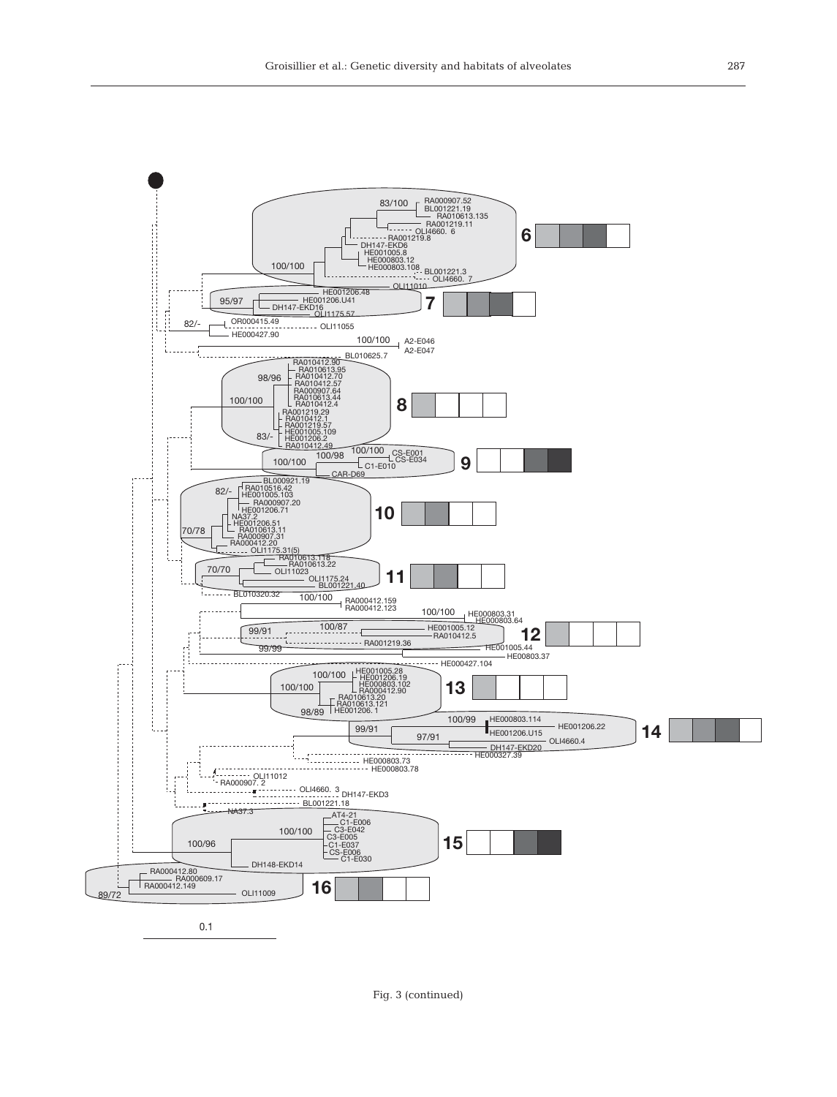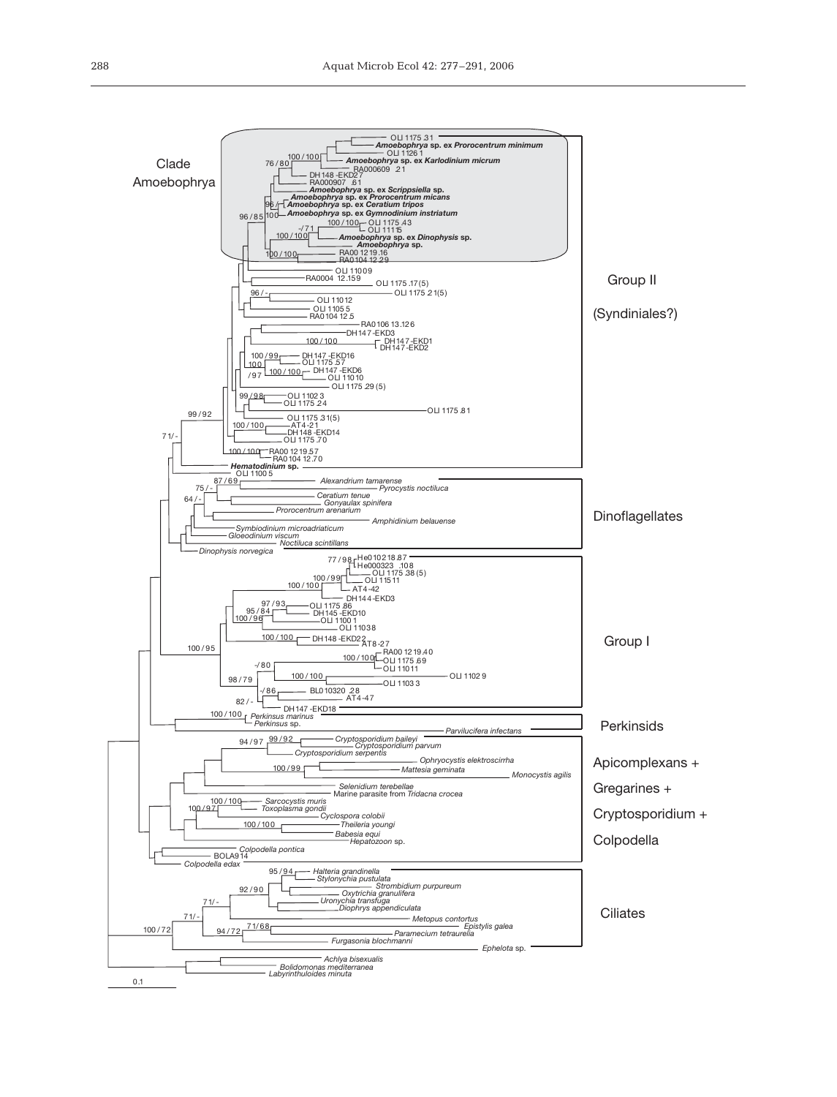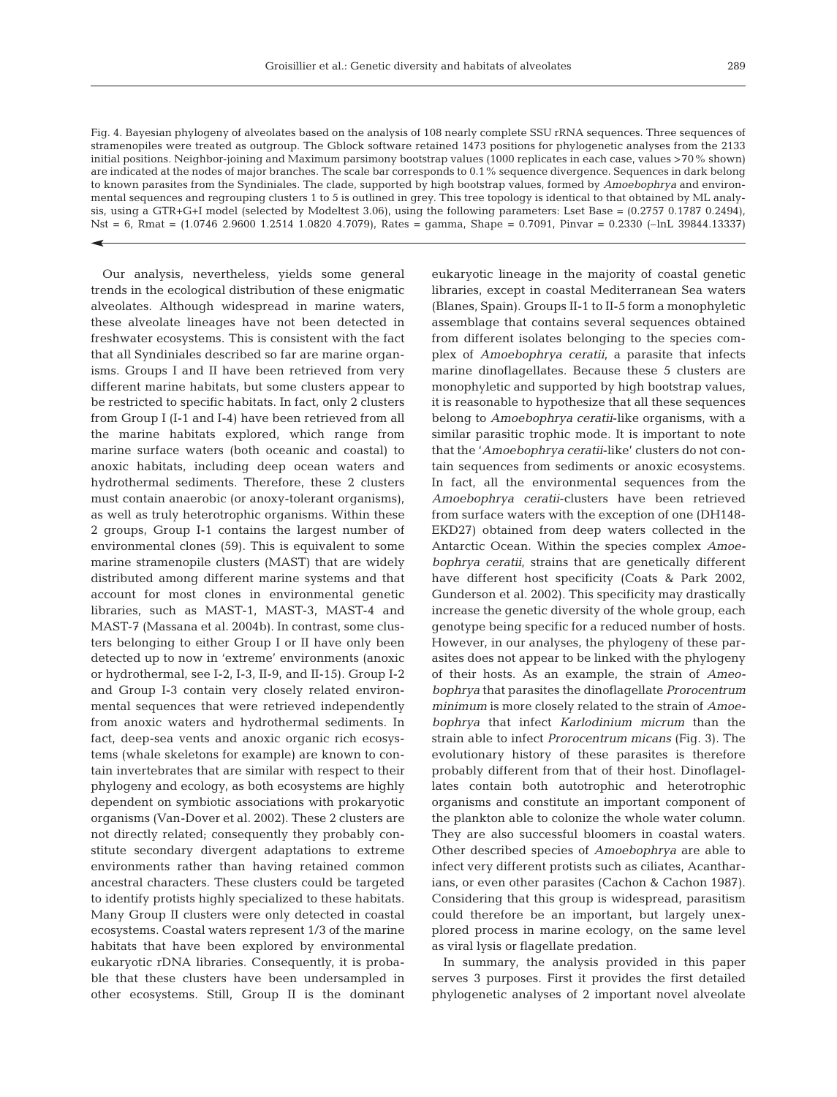Fig. 4. Bayesian phylogeny of alveolates based on the analysis of 108 nearly complete SSU rRNA sequences. Three sequences of stramenopiles were treated as outgroup. The Gblock software retained 1473 positions for phylogenetic analyses from the 2133 initial positions. Neighbor-joining and Maximum parsimony bootstrap values (1000 replicates in each case, values >70% shown) are indicated at the nodes of major branches. The scale bar corresponds to 0.1% sequence divergence. Sequences in dark belong to known parasites from the Syndiniales. The clade, supported by high bootstrap values, formed by *Amoebophrya* and environmental sequences and regrouping clusters 1 to 5 is outlined in grey. This tree topology is identical to that obtained by ML analysis, using a GTR+G+I model (selected by Modeltest 3.06), using the following parameters: Lset Base =  $(0.2757 0.1787 0.2494)$ , Nst = 6, Rmat = (1.0746 2.9600 1.2514 1.0820 4.7079), Rates = gamma, Shape = 0.7091, Pinvar = 0.2330 (–lnL 39844.13337)

Our analysis, nevertheless, yields some general trends in the ecological distribution of these enigmatic alveolates. Although widespread in marine waters, these alveolate lineages have not been detected in freshwater ecosystems. This is consistent with the fact that all Syndiniales described so far are marine organisms. Groups I and II have been retrieved from very different marine habitats, but some clusters appear to be restricted to specific habitats. In fact, only 2 clusters from Group I (I-1 and I-4) have been retrieved from all the marine habitats explored, which range from marine surface waters (both oceanic and coastal) to anoxic habitats, including deep ocean waters and hydrothermal sediments. Therefore, these 2 clusters must contain anaerobic (or anoxy-tolerant organisms), as well as truly heterotrophic organisms. Within these 2 groups, Group I-1 contains the largest number of environmental clones (59). This is equivalent to some marine stramenopile clusters (MAST) that are widely distributed among different marine systems and that account for most clones in environmental genetic libraries, such as MAST-1, MAST-3, MAST-4 and MAST-7 (Massana et al. 2004b). In contrast, some clusters belonging to either Group I or II have only been detected up to now in 'extreme' environments (anoxic or hydrothermal, see I-2, I-3, II-9, and II-15). Group I-2 and Group I-3 contain very closely related environmental sequences that were retrieved independently from anoxic waters and hydrothermal sediments. In fact, deep-sea vents and anoxic organic rich ecosystems (whale skeletons for example) are known to contain invertebrates that are similar with respect to their phylogeny and ecology, as both ecosystems are highly dependent on symbiotic associations with prokaryotic organisms (Van-Dover et al. 2002). These 2 clusters are not directly related; consequently they probably constitute secondary divergent adaptations to extreme environments rather than having retained common ancestral characters. These clusters could be targeted to identify protists highly specialized to these habitats. Many Group II clusters were only detected in coastal ecosystems. Coastal waters represent 1/3 of the marine habitats that have been explored by environmental eukaryotic rDNA libraries. Consequently, it is probable that these clusters have been undersampled in other ecosystems. Still, Group II is the dominant eukaryotic lineage in the majority of coastal genetic libraries, except in coastal Mediterranean Sea waters (Blanes, Spain). Groups II-1 to II-5 form a monophyletic assemblage that contains several sequences obtained from different isolates belonging to the species complex of *Amoebophrya ceratii*, a parasite that infects marine dinoflagellates. Because these 5 clusters are monophyletic and supported by high bootstrap values, it is reasonable to hypothesize that all these sequences belong to *Amoebophrya ceratii*-like organisms, with a similar parasitic trophic mode. It is important to note that the '*Amoebophrya ceratii*-like' clusters do not contain sequences from sediments or anoxic ecosystems. In fact, all the environmental sequences from the *Amoebophrya ceratii*-clusters have been retrieved from surface waters with the exception of one (DH148- EKD27) obtained from deep waters collected in the Antarctic Ocean. Within the species complex *Amoebophrya ceratii*, strains that are genetically different have different host specificity (Coats & Park 2002, Gunderson et al. 2002). This specificity may drastically increase the genetic diversity of the whole group, each genotype being specific for a reduced number of hosts. However, in our analyses, the phylogeny of these parasites does not appear to be linked with the phylogeny of their hosts. As an example, the strain of *Ameobophrya* that parasites the dinoflagellate *Prorocentrum minimum* is more closely related to the strain of *Amoebophrya* that infect *Karlodinium micrum* than the strain able to infect *Prorocentrum micans* (Fig. 3). The evolutionary history of these parasites is therefore probably different from that of their host. Dinoflagellates contain both autotrophic and heterotrophic organisms and constitute an important component of the plankton able to colonize the whole water column. They are also successful bloomers in coastal waters. Other described species of *Amoebophrya* are able to infect very different protists such as ciliates, Acantharians, or even other parasites (Cachon & Cachon 1987). Considering that this group is widespread, parasitism could therefore be an important, but largely unexplored process in marine ecology, on the same level as viral lysis or flagellate predation.

In summary, the analysis provided in this paper serves 3 purposes. First it provides the first detailed phylogenetic analyses of 2 important novel alveolate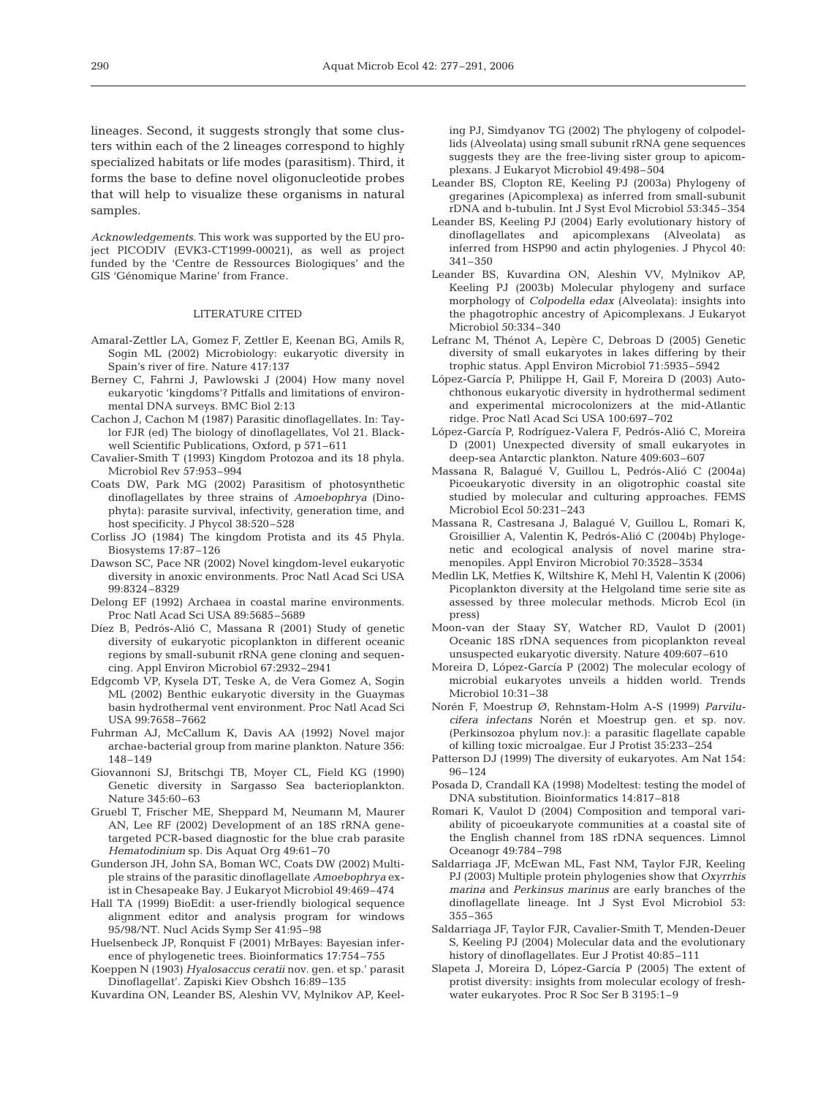lineages. Second, it suggests strongly that some clusters within each of the 2 lineages correspond to highly specialized habitats or life modes (parasitism). Third, it forms the base to define novel oligonucleotide probes that will help to visualize these organisms in natural samples.

*Acknowledgements*. This work was supported by the EU project PICODIV (EVK3-CT1999-00021), as well as project funded by the 'Centre de Ressources Biologiques' and the GIS 'Génomique Marine' from France.

#### LITERATURE CITED

- Amaral-Zettler LA, Gomez F, Zettler E, Keenan BG, Amils R, Sogin ML (2002) Microbiology: eukaryotic diversity in Spain's river of fire. Nature 417:137
- Berney C, Fahrni J, Pawlowski J (2004) How many novel eukaryotic 'kingdoms'? Pitfalls and limitations of environmental DNA surveys. BMC Biol 2:13
- Cachon J, Cachon M (1987) Parasitic dinoflagellates. In: Taylor FJR (ed) The biology of dinoflagellates, Vol 21. Blackwell Scientific Publications, Oxford, p 571–611
- Cavalier-Smith T (1993) Kingdom Protozoa and its 18 phyla. Microbiol Rev 57:953–994
- Coats DW, Park MG (2002) Parasitism of photosynthetic dinoflagellates by three strains of *Amoebophrya* (Dinophyta): parasite survival, infectivity, generation time, and host specificity. J Phycol 38:520–528
- Corliss JO (1984) The kingdom Protista and its 45 Phyla. Biosystems 17:87–126
- Dawson SC, Pace NR (2002) Novel kingdom-level eukaryotic diversity in anoxic environments. Proc Natl Acad Sci USA 99:8324–8329
- Delong EF (1992) Archaea in coastal marine environments. Proc Natl Acad Sci USA 89:5685–5689
- Díez B, Pedrós-Alió C, Massana R (2001) Study of genetic diversity of eukaryotic picoplankton in different oceanic regions by small-subunit rRNA gene cloning and sequencing. Appl Environ Microbiol 67:2932–2941
- Edgcomb VP, Kysela DT, Teske A, de Vera Gomez A, Sogin ML (2002) Benthic eukaryotic diversity in the Guaymas basin hydrothermal vent environment. Proc Natl Acad Sci USA 99:7658–7662
- Fuhrman AJ, McCallum K, Davis AA (1992) Novel major archae-bacterial group from marine plankton. Nature 356: 148–149
- Giovannoni SJ, Britschgi TB, Moyer CL, Field KG (1990) Genetic diversity in Sargasso Sea bacterioplankton. Nature 345:60–63
- Gruebl T, Frischer ME, Sheppard M, Neumann M, Maurer AN, Lee RF (2002) Development of an 18S rRNA genetargeted PCR-based diagnostic for the blue crab parasite *Hematodinium* sp. Dis Aquat Org 49:61–70
- Gunderson JH, John SA, Boman WC, Coats DW (2002) Multiple strains of the parasitic dinoflagellate *Amoebophrya* exist in Chesapeake Bay. J Eukaryot Microbiol 49:469–474
- Hall TA (1999) BioEdit: a user-friendly biological sequence alignment editor and analysis program for windows 95/98/NT. Nucl Acids Symp Ser 41:95–98
- Huelsenbeck JP, Ronquist F (2001) MrBayes: Bayesian inference of phylogenetic trees. Bioinformatics 17:754–755
- Koeppen N (1903) *Hyalosaccus ceratii* nov. gen. et sp.' parasit Dinoflagellat'. Zapiski Kiev Obshch 16:89–135
- Kuvardina ON, Leander BS, Aleshin VV, Mylnikov AP, Keel-

ing PJ, Simdyanov TG (2002) The phylogeny of colpodellids (Alveolata) using small subunit rRNA gene sequences suggests they are the free-living sister group to apicomplexans. J Eukaryot Microbiol 49:498–504

- Leander BS, Clopton RE, Keeling PJ (2003a) Phylogeny of gregarines (Apicomplexa) as inferred from small-subunit rDNA and b-tubulin. Int J Syst Evol Microbiol 53:345–354
- Leander BS, Keeling PJ (2004) Early evolutionary history of dinoflagellates and apicomplexans (Alveolata) as inferred from HSP90 and actin phylogenies. J Phycol 40: 341–350
- Leander BS, Kuvardina ON, Aleshin VV, Mylnikov AP, Keeling PJ (2003b) Molecular phylogeny and surface morphology of *Colpodella edax* (Alveolata): insights into the phagotrophic ancestry of Apicomplexans. J Eukaryot Microbiol 50:334–340
- Lefranc M, Thénot A, Lepère C, Debroas D (2005) Genetic diversity of small eukaryotes in lakes differing by their trophic status. Appl Environ Microbiol 71:5935–5942
- López-García P, Philippe H, Gail F, Moreira D (2003) Autochthonous eukaryotic diversity in hydrothermal sediment and experimental microcolonizers at the mid-Atlantic ridge. Proc Natl Acad Sci USA 100:697–702
- López-García P, Rodríguez-Valera F, Pedrós-Alió C, Moreira D (2001) Unexpected diversity of small eukaryotes in deep-sea Antarctic plankton. Nature 409:603–607
- Massana R, Balagué V, Guillou L, Pedrós-Alió C (2004a) Picoeukaryotic diversity in an oligotrophic coastal site studied by molecular and culturing approaches. FEMS Microbiol Ecol 50:231–243
- Massana R, Castresana J, Balagué V, Guillou L, Romari K, Groisillier A, Valentin K, Pedrós-Alió C (2004b) Phylogenetic and ecological analysis of novel marine stramenopiles. Appl Environ Microbiol 70:3528–3534
- Medlin LK, Metfies K, Wiltshire K, Mehl H, Valentin K (2006) Picoplankton diversity at the Helgoland time serie site as assessed by three molecular methods. Microb Ecol (in press)
- Moon-van der Staay SY, Watcher RD, Vaulot D (2001) Oceanic 18S rDNA sequences from picoplankton reveal unsuspected eukaryotic diversity. Nature 409:607–610
- Moreira D, López-García P (2002) The molecular ecology of microbial eukaryotes unveils a hidden world. Trends Microbiol 10:31–38
- Norén F, Moestrup Ø, Rehnstam-Holm A-S (1999) *Parvilucifera infectans* Norén et Moestrup gen. et sp. nov. (Perkinsozoa phylum nov.): a parasitic flagellate capable of killing toxic microalgae. Eur J Protist 35:233–254
- Patterson DJ (1999) The diversity of eukaryotes. Am Nat 154: 96–124
- Posada D, Crandall KA (1998) Modeltest: testing the model of DNA substitution. Bioinformatics 14:817–818
- Romari K, Vaulot D (2004) Composition and temporal variability of picoeukaryote communities at a coastal site of the English channel from 18S rDNA sequences. Limnol Oceanogr 49:784–798
- Saldarriaga JF, McEwan ML, Fast NM, Taylor FJR, Keeling PJ (2003) Multiple protein phylogenies show that *Oxyrrhis marina* and *Perkinsus marinus* are early branches of the dinoflagellate lineage. Int J Syst Evol Microbiol 53: 355–365
- Saldarriaga JF, Taylor FJR, Cavalier-Smith T, Menden-Deuer S, Keeling PJ (2004) Molecular data and the evolutionary history of dinoflagellates. Eur J Protist 40:85–111
- Slapeta J, Moreira D, López-García P (2005) The extent of protist diversity: insights from molecular ecology of freshwater eukaryotes. Proc R Soc Ser B 3195:1–9